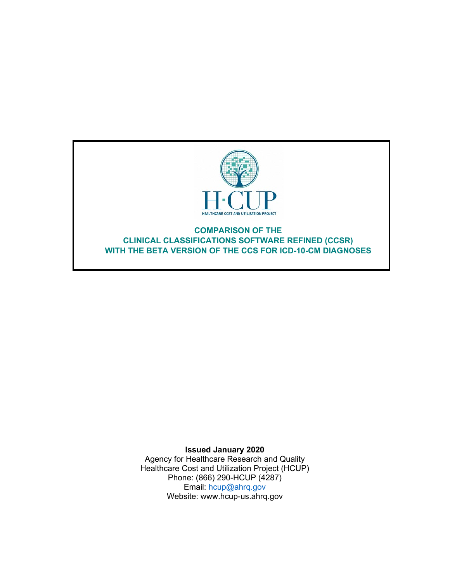

### **COMPARISON OF THE CLINICAL CLASSIFICATIONS SOFTWARE REFINED (CCSR) WITH THE BETA VERSION OF THE CCS FOR ICD-10-CM DIAGNOSES**

**Issued January 2020** Agency for Healthcare Research and Quality Healthcare Cost and Utilization Project (HCUP) Phone: (866) 290-HCUP (4287) Email: [hcup@ahrq.gov](mailto:hcup@ahrq.gov) Website: www.hcup-us.ahrq.gov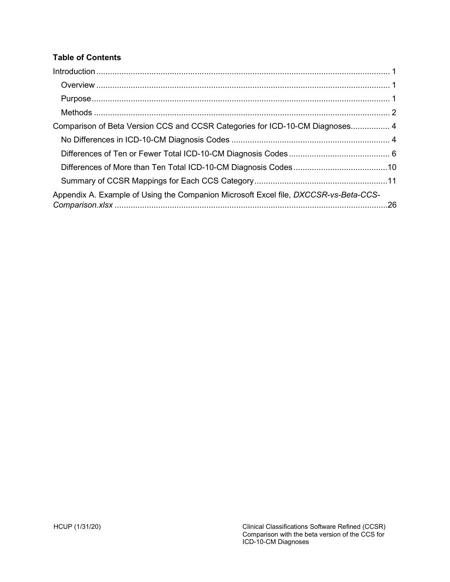## **Table of Contents**

| Comparison of Beta Version CCS and CCSR Categories for ICD-10-CM Diagnoses 4         |  |
|--------------------------------------------------------------------------------------|--|
|                                                                                      |  |
|                                                                                      |  |
|                                                                                      |  |
|                                                                                      |  |
| Appendix A. Example of Using the Companion Microsoft Excel file, DXCCSR-vs-Beta-CCS- |  |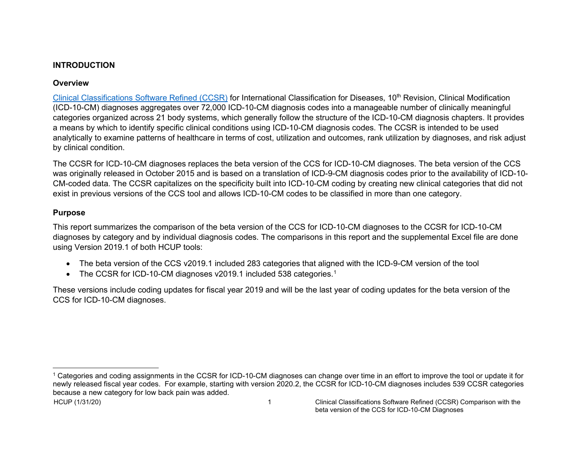### <span id="page-2-3"></span>**INTRODUCTION**

## **Overview**

[Clinical Classifications Software Refined \(CCSR\)](https://hcup-us.ahrq.gov/toolssoftware/ccsr/ccs_refined.jsp) for International Classification for Diseases, 10th Revision, Clinical Modification (ICD-10-CM) diagnoses aggregates over 72,000 ICD-10-CM diagnosis codes into a manageable number of clinically meaningful categories organized across 21 body systems, which generally follow the structure of the ICD-10-CM diagnosis chapters. It provides a means by which to identify specific clinical conditions using ICD-10-CM diagnosis codes. The CCSR is intended to be used analytically to examine patterns of healthcare in terms of cost, utilization and outcomes, rank utilization by diagnoses, and risk adjust by clinical condition.

The CCSR for ICD-10-CM diagnoses replaces the beta version of the CCS for ICD-10-CM diagnoses. The beta version of the CCS was originally released in October 2015 and is based on a translation of ICD-9-CM diagnosis codes prior to the availability of ICD-10- CM-coded data. The CCSR capitalizes on the specificity built into ICD-10-CM coding by creating new clinical categories that did not exist in previous versions of the CCS tool and allows ICD-10-CM codes to be classified in more than one category.

## <span id="page-2-1"></span><span id="page-2-0"></span>**Purpose**

This report summarizes the comparison of the beta version of the CCS for ICD-10-CM diagnoses to the CCSR for ICD-10-CM diagnoses by category and by individual diagnosis codes. The comparisons in this report and the supplemental Excel file are done using Version 2019.1 of both HCUP tools:

- The beta version of the CCS v2019.1 included 283 categories that aligned with the ICD-9-CM version of the tool
- The CCSR for ICD-[1](#page-2-3)0-CM diagnoses v2019.1 included 538 categories.<sup>1</sup>

These versions include coding updates for fiscal year 2019 and will be the last year of coding updates for the beta version of the CCS for ICD-10-CM diagnoses.

<span id="page-2-2"></span><sup>1</sup> Categories and coding assignments in the CCSR for ICD-10-CM diagnoses can change over time in an effort to improve the tool or update it for newly released fiscal year codes. For example, starting with version 2020.2, the CCSR for ICD-10-CM diagnoses includes 539 CCSR categories because a new category for low back pain was added.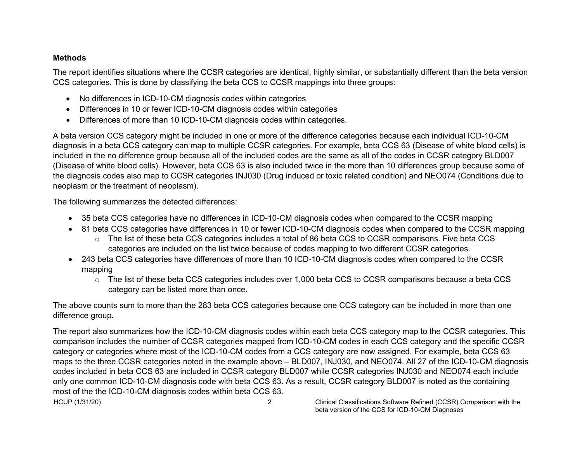### **Methods**

The report identifies situations where the CCSR categories are identical, highly similar, or substantially different than the beta version CCS categories. This is done by classifying the beta CCS to CCSR mappings into three groups:

- No differences in ICD-10-CM diagnosis codes within categories
- Differences in 10 or fewer ICD-10-CM diagnosis codes within categories
- Differences of more than 10 ICD-10-CM diagnosis codes within categories.

A beta version CCS category might be included in one or more of the difference categories because each individual ICD-10-CM diagnosis in a beta CCS category can map to multiple CCSR categories. For example, beta CCS 63 (Disease of white blood cells) is included in the no difference group because all of the included codes are the same as all of the codes in CCSR category BLD007 (Disease of white blood cells). However, beta CCS 63 is also included twice in the more than 10 differences group because some of the diagnosis codes also map to CCSR categories INJ030 (Drug induced or toxic related condition) and NEO074 (Conditions due to neoplasm or the treatment of neoplasm).

<span id="page-3-0"></span>The following summarizes the detected differences:

- 35 beta CCS categories have no differences in ICD-10-CM diagnosis codes when compared to the CCSR mapping
- 81 beta CCS categories have differences in 10 or fewer ICD-10-CM diagnosis codes when compared to the CCSR mapping
	- o The list of these beta CCS categories includes a total of 86 beta CCS to CCSR comparisons. Five beta CCS categories are included on the list twice because of codes mapping to two different CCSR categories.
- 243 beta CCS categories have differences of more than 10 ICD-10-CM diagnosis codes when compared to the CCSR mapping
	- o The list of these beta CCS categories includes over 1,000 beta CCS to CCSR comparisons because a beta CCS category can be listed more than once.

The above counts sum to more than the 283 beta CCS categories because one CCS category can be included in more than one difference group.

The report also summarizes how the ICD-10-CM diagnosis codes within each beta CCS category map to the CCSR categories. This comparison includes the number of CCSR categories mapped from ICD-10-CM codes in each CCS category and the specific CCSR category or categories where most of the ICD-10-CM codes from a CCS category are now assigned. For example, beta CCS 63 maps to the three CCSR categories noted in the example above – BLD007, INJ030, and NEO074. All 27 of the ICD-10-CM diagnosis codes included in beta CCS 63 are included in CCSR category BLD007 while CCSR categories INJ030 and NEO074 each include only one common ICD-10-CM diagnosis code with beta CCS 63. As a result, CCSR category BLD007 is noted as the containing most of the the ICD-10-CM diagnosis codes within beta CCS 63.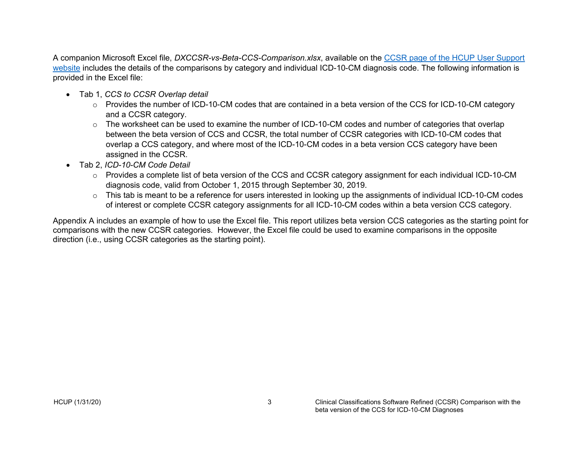A companion Microsoft Excel file, *DXCCSR-vs-Beta-CCS-Comparison.xlsx*, available on the [CCSR page of the HCUP User Support](https://www.hcup-us.ahrq.gov/toolssoftware/ccsr/ccs_refined.jsp)  [website](https://www.hcup-us.ahrq.gov/toolssoftware/ccsr/ccs_refined.jsp) includes the details of the comparisons by category and individual ICD-10-CM diagnosis code. The following information is provided in the Excel file:

- Tab 1, *CCS to CCSR Overlap detail*
	- o Provides the number of ICD-10-CM codes that are contained in a beta version of the CCS for ICD-10-CM category and a CCSR category.
	- o The worksheet can be used to examine the number of ICD-10-CM codes and number of categories that overlap between the beta version of CCS and CCSR, the total number of CCSR categories with ICD-10-CM codes that overlap a CCS category, and where most of the ICD-10-CM codes in a beta version CCS category have been assigned in the CCSR.
- Tab 2, *ICD-10-CM Code Detail*
	- o Provides a complete list of beta version of the CCS and CCSR category assignment for each individual ICD-10-CM diagnosis code, valid from October 1, 2015 through September 30, 2019.
	- o This tab is meant to be a reference for users interested in looking up the assignments of individual ICD-10-CM codes of interest or complete CCSR category assignments for all ICD-10-CM codes within a beta version CCS category.

Appendix A includes an example of how to use the Excel file. This report utilizes beta version CCS categories as the starting point for comparisons with the new CCSR categories. However, the Excel file could be used to examine comparisons in the opposite direction (i.e., using CCSR categories as the starting point).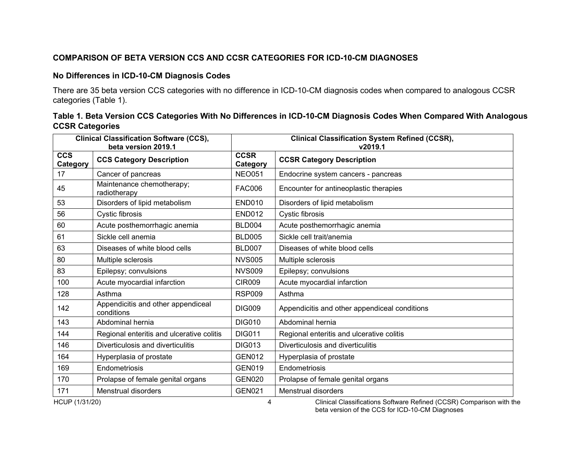### **COMPARISON OF BETA VERSION CCS AND CCSR CATEGORIES FOR ICD-10-CM DIAGNOSES**

#### **No Differences in ICD-10-CM Diagnosis Codes**

There are 35 beta version CCS categories with no difference in ICD-10-CM diagnosis codes when compared to analogous CCSR categories (Table 1).

### **Table 1. Beta Version CCS Categories With No Differences in ICD-10-CM Diagnosis Codes When Compared With Analogous CCSR Categories**

<span id="page-5-1"></span><span id="page-5-0"></span>

|                        | <b>Clinical Classification Software (CCS),</b><br>beta version 2019.1 |                         | <b>Clinical Classification System Refined (CCSR),</b><br>v2019.1 |
|------------------------|-----------------------------------------------------------------------|-------------------------|------------------------------------------------------------------|
| <b>CCS</b><br>Category | <b>CCS Category Description</b>                                       | <b>CCSR</b><br>Category | <b>CCSR Category Description</b>                                 |
| 17                     | Cancer of pancreas                                                    | <b>NEO051</b>           | Endocrine system cancers - pancreas                              |
| 45                     | Maintenance chemotherapy;<br>radiotherapy                             | <b>FAC006</b>           | Encounter for antineoplastic therapies                           |
| 53                     | Disorders of lipid metabolism                                         | <b>END010</b>           | Disorders of lipid metabolism                                    |
| 56                     | Cystic fibrosis                                                       | <b>END012</b>           | Cystic fibrosis                                                  |
| 60                     | Acute posthemorrhagic anemia                                          | <b>BLD004</b>           | Acute posthemorrhagic anemia                                     |
| 61                     | Sickle cell anemia                                                    | <b>BLD005</b>           | Sickle cell trait/anemia                                         |
| 63                     | Diseases of white blood cells                                         | <b>BLD007</b>           | Diseases of white blood cells                                    |
| 80                     | Multiple sclerosis                                                    | <b>NVS005</b>           | Multiple sclerosis                                               |
| 83                     | Epilepsy; convulsions                                                 | <b>NVS009</b>           | Epilepsy; convulsions                                            |
| 100                    | Acute myocardial infarction                                           | <b>CIR009</b>           | Acute myocardial infarction                                      |
| 128                    | Asthma                                                                | <b>RSP009</b>           | Asthma                                                           |
| 142                    | Appendicitis and other appendiceal<br>conditions                      | <b>DIG009</b>           | Appendicitis and other appendiceal conditions                    |
| 143                    | Abdominal hernia                                                      | <b>DIG010</b>           | Abdominal hernia                                                 |
| 144                    | Regional enteritis and ulcerative colitis                             | <b>DIG011</b>           | Regional enteritis and ulcerative colitis                        |
| 146                    | Diverticulosis and diverticulitis                                     | <b>DIG013</b>           | Diverticulosis and diverticulitis                                |
| 164                    | Hyperplasia of prostate                                               | <b>GEN012</b>           | Hyperplasia of prostate                                          |
| 169                    | Endometriosis                                                         | <b>GEN019</b>           | Endometriosis                                                    |
| 170                    | Prolapse of female genital organs                                     | <b>GEN020</b>           | Prolapse of female genital organs                                |
| 171                    | <b>Menstrual disorders</b>                                            | <b>GEN021</b>           | Menstrual disorders                                              |

HCUP (1/31/20) 4 Clinical Classifications Software Refined (CCSR) Comparison with the beta version of the CCS for ICD-10-CM Diagnoses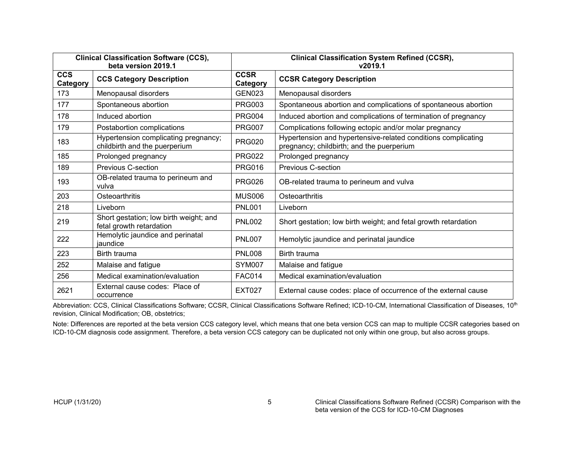| <b>Clinical Classification Software (CCS),</b><br>beta version 2019.1 |                                                                       |                         | <b>Clinical Classification System Refined (CCSR),</b><br>v2019.1                                           |  |
|-----------------------------------------------------------------------|-----------------------------------------------------------------------|-------------------------|------------------------------------------------------------------------------------------------------------|--|
| <b>CCS</b><br>Category                                                | <b>CCS Category Description</b>                                       | <b>CCSR</b><br>Category | <b>CCSR Category Description</b>                                                                           |  |
| 173                                                                   | Menopausal disorders                                                  | <b>GEN023</b>           | Menopausal disorders                                                                                       |  |
| 177                                                                   | Spontaneous abortion                                                  | <b>PRG003</b>           | Spontaneous abortion and complications of spontaneous abortion                                             |  |
| 178                                                                   | Induced abortion                                                      | <b>PRG004</b>           | Induced abortion and complications of termination of pregnancy                                             |  |
| 179                                                                   | Postabortion complications                                            | <b>PRG007</b>           | Complications following ectopic and/or molar pregnancy                                                     |  |
| 183                                                                   | Hypertension complicating pregnancy;<br>childbirth and the puerperium | <b>PRG020</b>           | Hypertension and hypertensive-related conditions complicating<br>pregnancy; childbirth; and the puerperium |  |
| 185                                                                   | Prolonged pregnancy                                                   | <b>PRG022</b>           | Prolonged pregnancy                                                                                        |  |
| 189                                                                   | <b>Previous C-section</b>                                             | <b>PRG016</b>           | Previous C-section                                                                                         |  |
| 193                                                                   | OB-related trauma to perineum and<br>vulva                            | <b>PRG026</b>           | OB-related trauma to perineum and vulva                                                                    |  |
| 203                                                                   | Osteoarthritis                                                        | <b>MUS006</b>           | Osteoarthritis                                                                                             |  |
| 218                                                                   | Liveborn                                                              | <b>PNL001</b>           | Liveborn                                                                                                   |  |
| 219                                                                   | Short gestation; low birth weight; and<br>fetal growth retardation    | <b>PNL002</b>           | Short gestation; low birth weight; and fetal growth retardation                                            |  |
| 222                                                                   | Hemolytic jaundice and perinatal<br>jaundice                          | <b>PNL007</b>           | Hemolytic jaundice and perinatal jaundice                                                                  |  |
| 223                                                                   | Birth trauma                                                          | <b>PNL008</b>           | Birth trauma                                                                                               |  |
| 252                                                                   | Malaise and fatigue                                                   | SYM007                  | Malaise and fatigue                                                                                        |  |
| 256                                                                   | Medical examination/evaluation                                        | <b>FAC014</b>           | Medical examination/evaluation                                                                             |  |
| 2621                                                                  | External cause codes: Place of<br>occurrence                          | <b>EXT027</b>           | External cause codes: place of occurrence of the external cause                                            |  |

Abbreviation: CCS, Clinical Classifications Software; CCSR, Clinical Classifications Software Refined; ICD-10-CM, International Classification of Diseases, 10<sup>th</sup> revision, Clinical Modification; OB, obstetrics;

Note: Differences are reported at the beta version CCS category level, which means that one beta version CCS can map to multiple CCSR categories based on ICD-10-CM diagnosis code assignment. Therefore, a beta version CCS category can be duplicated not only within one group, but also across groups.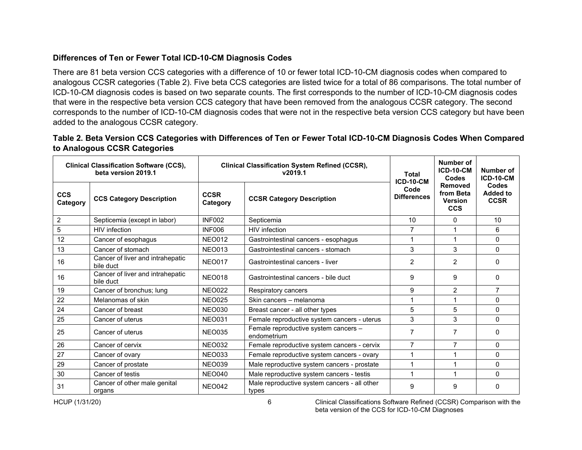## **Differences of Ten or Fewer Total ICD-10-CM Diagnosis Codes**

There are 81 beta version CCS categories with a difference of 10 or fewer total ICD-10-CM diagnosis codes when compared to analogous CCSR categories (Table 2). Five beta CCS categories are listed twice for a total of 86 comparisons. The total number of ICD-10-CM diagnosis codes is based on two separate counts. The first corresponds to the number of ICD-10-CM diagnosis codes that were in the respective beta version CCS category that have been removed from the analogous CCSR category. The second corresponds to the number of ICD-10-CM diagnosis codes that were not in the respective beta version CCS category but have been added to the analogous CCSR category.

| Table 2. Beta Version CCS Categories with Differences of Ten or Fewer Total ICD-10-CM Diagnosis Codes When Compared |  |  |
|---------------------------------------------------------------------------------------------------------------------|--|--|
| to Analogous CCSR Categories                                                                                        |  |  |

<span id="page-7-0"></span>

|                        | <b>Clinical Classification Software (CCS),</b><br>beta version 2019.1 | <b>Clinical Classification System Refined (CCSR),</b><br>v2019.1 |                                                       | <b>Total</b>               |                                                      | <b>ICD-10-CM</b>                        | Number of<br><b>ICD-10-CM</b><br><b>Codes</b> | Number of<br><b>ICD-10-CM</b> |
|------------------------|-----------------------------------------------------------------------|------------------------------------------------------------------|-------------------------------------------------------|----------------------------|------------------------------------------------------|-----------------------------------------|-----------------------------------------------|-------------------------------|
| <b>CCS</b><br>Category | <b>CCS Category Description</b>                                       | <b>CCSR</b><br>Category                                          | <b>CCSR Category Description</b>                      | Code<br><b>Differences</b> | Removed<br>from Beta<br><b>Version</b><br><b>CCS</b> | Codes<br><b>Added to</b><br><b>CCSR</b> |                                               |                               |
| $\overline{2}$         | Septicemia (except in labor)                                          | <b>INF002</b>                                                    | Septicemia                                            | 10                         | $\mathbf{0}$                                         | 10                                      |                                               |                               |
| $\sqrt{5}$             | <b>HIV</b> infection                                                  | <b>INF006</b>                                                    | HIV infection                                         |                            |                                                      | 6                                       |                                               |                               |
| 12                     | Cancer of esophagus                                                   | <b>NEO012</b>                                                    | Gastrointestinal cancers - esophagus                  |                            | 1                                                    | 0                                       |                                               |                               |
| 13                     | Cancer of stomach                                                     | <b>NEO013</b>                                                    | Gastrointestinal cancers - stomach                    | 3                          | 3                                                    | 0                                       |                                               |                               |
| 16                     | Cancer of liver and intrahepatic<br>bile duct                         | <b>NEO017</b>                                                    | Gastrointestinal cancers - liver                      |                            | $\overline{2}$                                       | 0                                       |                                               |                               |
| 16                     | Cancer of liver and intrahepatic<br>bile duct                         | <b>NEO018</b>                                                    | Gastrointestinal cancers - bile duct                  |                            | 9                                                    | 0                                       |                                               |                               |
| 19                     | Cancer of bronchus; lung                                              | <b>NEO022</b>                                                    | Respiratory cancers                                   | 9                          | $\overline{2}$                                       | 7                                       |                                               |                               |
| 22                     | Melanomas of skin                                                     | <b>NEO025</b>                                                    | Skin cancers - melanoma                               |                            | 1                                                    | 0                                       |                                               |                               |
| 24                     | Cancer of breast                                                      | <b>NEO030</b>                                                    | Breast cancer - all other types                       | 5                          | 5                                                    | 0                                       |                                               |                               |
| 25                     | Cancer of uterus                                                      | <b>NEO031</b>                                                    | Female reproductive system cancers - uterus           | 3                          | 3                                                    | $\Omega$                                |                                               |                               |
| 25                     | Cancer of uterus                                                      | <b>NEO035</b>                                                    | Female reproductive system cancers -<br>endometrium   | 7                          | 7                                                    | 0                                       |                                               |                               |
| 26                     | Cancer of cervix                                                      | <b>NEO032</b>                                                    | Female reproductive system cancers - cervix           | 7                          | 7                                                    | 0                                       |                                               |                               |
| 27                     | Cancer of ovary                                                       | <b>NEO033</b>                                                    | Female reproductive system cancers - ovary            |                            | 1                                                    | 0                                       |                                               |                               |
| 29                     | Cancer of prostate                                                    | <b>NEO039</b>                                                    | Male reproductive system cancers - prostate           |                            | 1                                                    | 0                                       |                                               |                               |
| 30                     | Cancer of testis                                                      | <b>NEO040</b>                                                    | Male reproductive system cancers - testis             |                            | 1                                                    | $\Omega$                                |                                               |                               |
| 31                     | Cancer of other male genital<br>organs                                | <b>NEO042</b>                                                    | Male reproductive system cancers - all other<br>types | 9                          | 9                                                    | 0                                       |                                               |                               |

HCUP (1/31/20) 6 Clinical Classifications Software Refined (CCSR) Comparison with the beta version of the CCS for ICD-10-CM Diagnoses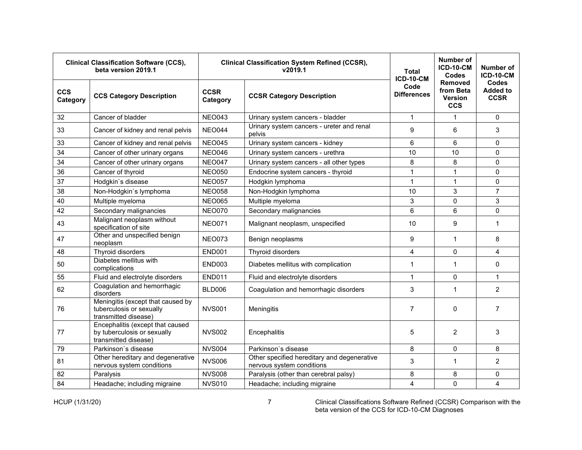| <b>Clinical Classification Software (CCS),</b><br><b>Clinical Classification System Refined (CCSR),</b><br>beta version 2019.1<br>v2019.1 |                                                                                         | Total<br><b>ICD-10-CM</b> | <b>Number of</b><br><b>ICD-10-CM</b><br>Codes                            | Number of<br><b>ICD-10-CM</b>                                                      |              |                                                |
|-------------------------------------------------------------------------------------------------------------------------------------------|-----------------------------------------------------------------------------------------|---------------------------|--------------------------------------------------------------------------|------------------------------------------------------------------------------------|--------------|------------------------------------------------|
| <b>CCS</b><br>Category                                                                                                                    | <b>CCS Category Description</b>                                                         | <b>CCSR</b><br>Category   | <b>CCSR Category Description</b>                                         | <b>Removed</b><br>Code<br>from Beta<br><b>Differences</b><br>Version<br><b>CCS</b> |              | <b>Codes</b><br><b>Added to</b><br><b>CCSR</b> |
| 32                                                                                                                                        | Cancer of bladder                                                                       | <b>NEO043</b>             | Urinary system cancers - bladder                                         | $\mathbf{1}$                                                                       | 1            | 0                                              |
| 33                                                                                                                                        | Cancer of kidney and renal pelvis                                                       | <b>NEO044</b>             | Urinary system cancers - ureter and renal<br>pelvis                      | 9                                                                                  | 6            | 3                                              |
| 33                                                                                                                                        | Cancer of kidney and renal pelvis                                                       | <b>NEO045</b>             | Urinary system cancers - kidney                                          | 6                                                                                  | 6            | $\mathbf{0}$                                   |
| 34                                                                                                                                        | Cancer of other urinary organs                                                          | <b>NEO046</b>             | Urinary system cancers - urethra                                         | 10                                                                                 | 10           | 0                                              |
| 34                                                                                                                                        | Cancer of other urinary organs                                                          | <b>NEO047</b>             | Urinary system cancers - all other types                                 | 8                                                                                  | 8            | 0                                              |
| 36                                                                                                                                        | Cancer of thyroid                                                                       | <b>NEO050</b>             | Endocrine system cancers - thyroid                                       | $\mathbf{1}$                                                                       | $\mathbf{1}$ | 0                                              |
| 37                                                                                                                                        | Hodgkin's disease                                                                       | <b>NEO057</b>             | Hodgkin lymphoma                                                         | $\overline{1}$                                                                     | $\mathbf{1}$ | 0                                              |
| 38                                                                                                                                        | Non-Hodgkin's lymphoma                                                                  | <b>NEO058</b>             | Non-Hodgkin lymphoma                                                     | 10                                                                                 | 3            | $\overline{7}$                                 |
| 40                                                                                                                                        | Multiple myeloma                                                                        | <b>NEO065</b>             | Multiple myeloma                                                         | 3                                                                                  | 0            | 3                                              |
| 42                                                                                                                                        | Secondary malignancies                                                                  | <b>NEO070</b>             | Secondary malignancies                                                   | $6\phantom{1}6$                                                                    | 6            | 0                                              |
| 43                                                                                                                                        | Malignant neoplasm without<br>specification of site                                     | <b>NEO071</b>             | Malignant neoplasm, unspecified                                          | 10                                                                                 | 9            | $\mathbf{1}$                                   |
| 47                                                                                                                                        | Other and unspecified benign<br>neoplasm                                                | <b>NEO073</b>             | Benign neoplasms                                                         | 9                                                                                  | 1            | 8                                              |
| 48                                                                                                                                        | Thyroid disorders                                                                       | <b>END001</b>             | Thyroid disorders                                                        | $\overline{4}$                                                                     | 0            | 4                                              |
| 50                                                                                                                                        | Diabetes mellitus with<br>complications                                                 | <b>END003</b>             | Diabetes mellitus with complication                                      | $\mathbf 1$                                                                        | 1            | 0                                              |
| 55                                                                                                                                        | Fluid and electrolyte disorders                                                         | <b>END011</b>             | Fluid and electrolyte disorders                                          | $\mathbf{1}$                                                                       | 0            | $\mathbf{1}$                                   |
| 62                                                                                                                                        | Coagulation and hemorrhagic<br>disorders                                                | BLD006                    | Coagulation and hemorrhagic disorders                                    | 3                                                                                  | 1            | $\overline{2}$                                 |
| 76                                                                                                                                        | Meningitis (except that caused by<br>tuberculosis or sexually<br>transmitted disease)   | <b>NVS001</b>             | Meningitis                                                               | $\overline{7}$                                                                     | 0            | $\overline{7}$                                 |
| 77                                                                                                                                        | Encephalitis (except that caused<br>by tuberculosis or sexually<br>transmitted disease) | <b>NVS002</b>             | Encephalitis                                                             | 5                                                                                  | 2            | 3                                              |
| 79                                                                                                                                        | Parkinson's disease                                                                     | <b>NVS004</b>             | Parkinson's disease                                                      | 8                                                                                  | 0            | 8                                              |
| 81                                                                                                                                        | Other hereditary and degenerative<br>nervous system conditions                          | <b>NVS006</b>             | Other specified hereditary and degenerative<br>nervous system conditions | 3                                                                                  | 1            | $\overline{2}$                                 |
| 82                                                                                                                                        | Paralysis                                                                               | <b>NVS008</b>             | Paralysis (other than cerebral palsy)                                    | 8                                                                                  | 8            | 0                                              |
| 84                                                                                                                                        | Headache; including migraine                                                            | <b>NVS010</b>             | Headache; including migraine                                             | 4                                                                                  | $\mathbf 0$  | 4                                              |

HCUP (1/31/20) 7 Clinical Classifications Software Refined (CCSR) Comparison with the beta version of the CCS for ICD-10-CM Diagnoses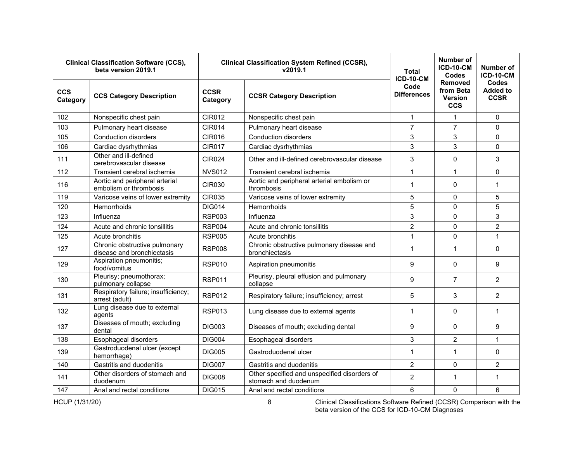|                        | <b>Clinical Classification Software (CCS),</b><br><b>Clinical Classification System Refined (CCSR),</b><br>beta version 2019.1<br>v2019.1 |                         | Total<br><b>ICD-10-CM</b>                                            | <b>Number of</b><br><b>ICD-10-CM</b><br>Codes | Number of<br><b>ICD-10-CM</b>                        |                                         |
|------------------------|-------------------------------------------------------------------------------------------------------------------------------------------|-------------------------|----------------------------------------------------------------------|-----------------------------------------------|------------------------------------------------------|-----------------------------------------|
| <b>CCS</b><br>Category | <b>CCS Category Description</b>                                                                                                           | <b>CCSR</b><br>Category | Code<br><b>Differences</b><br><b>CCSR Category Description</b>       |                                               | <b>Removed</b><br>from Beta<br>Version<br><b>CCS</b> | Codes<br><b>Added to</b><br><b>CCSR</b> |
| 102                    | Nonspecific chest pain                                                                                                                    | <b>CIR012</b>           | Nonspecific chest pain                                               | $\mathbf{1}$                                  | 1                                                    | $\Omega$                                |
| 103                    | Pulmonary heart disease                                                                                                                   | <b>CIR014</b>           | Pulmonary heart disease                                              | $\overline{7}$                                | $\overline{7}$                                       | $\Omega$                                |
| 105                    | <b>Conduction disorders</b>                                                                                                               | <b>CIR016</b>           | <b>Conduction disorders</b>                                          | 3                                             | 3                                                    | $\mathbf 0$                             |
| 106                    | Cardiac dysrhythmias                                                                                                                      | <b>CIR017</b>           | Cardiac dysrhythmias                                                 | 3                                             | 3                                                    | $\Omega$                                |
| 111                    | Other and ill-defined<br>cerebrovascular disease                                                                                          | <b>CIR024</b>           | Other and ill-defined cerebrovascular disease                        | 3                                             | 0                                                    | 3                                       |
| 112                    | Transient cerebral ischemia                                                                                                               | <b>NVS012</b>           | Transient cerebral ischemia                                          | $\mathbf{1}$                                  | $\mathbf{1}$                                         | 0                                       |
| 116                    | Aortic and peripheral arterial<br>embolism or thrombosis                                                                                  | CIR030                  | Aortic and peripheral arterial embolism or<br>thrombosis             | 1                                             | $\Omega$                                             | $\mathbf{1}$                            |
| 119                    | Varicose veins of lower extremity                                                                                                         | <b>CIR035</b>           | Varicose veins of lower extremity                                    |                                               | $\Omega$                                             | 5                                       |
| 120                    | <b>Hemorrhoids</b>                                                                                                                        | <b>DIG014</b>           | Hemorrhoids                                                          | 5                                             | $\Omega$                                             | 5                                       |
| 123                    | Influenza                                                                                                                                 | <b>RSP003</b>           | Influenza                                                            | 3                                             | $\Omega$                                             | 3                                       |
| 124                    | Acute and chronic tonsillitis                                                                                                             | <b>RSP004</b>           | Acute and chronic tonsillitis                                        | $\overline{2}$                                | 0                                                    | $\overline{2}$                          |
| 125                    | Acute bronchitis                                                                                                                          | <b>RSP005</b>           | Acute bronchitis                                                     | $\mathbf{1}$                                  | 0                                                    | $\mathbf{1}$                            |
| 127                    | Chronic obstructive pulmonary<br>disease and bronchiectasis                                                                               | <b>RSP008</b>           | Chronic obstructive pulmonary disease and<br>bronchiectasis          | 1                                             | $\mathbf 1$                                          | $\Omega$                                |
| 129                    | Aspiration pneumonitis;<br>food/vomitus                                                                                                   | <b>RSP010</b>           | Aspiration pneumonitis                                               | 9                                             | $\Omega$                                             | 9                                       |
| 130                    | Pleurisy; pneumothorax;<br>pulmonary collapse                                                                                             | <b>RSP011</b>           | Pleurisy, pleural effusion and pulmonary<br>collapse                 | 9                                             | $\overline{7}$                                       | 2                                       |
| 131                    | Respiratory failure; insufficiency;<br>arrest (adult)                                                                                     | <b>RSP012</b>           | Respiratory failure; insufficiency; arrest                           | 5                                             | 3                                                    | 2                                       |
| 132                    | Lung disease due to external<br>agents                                                                                                    | <b>RSP013</b>           | Lung disease due to external agents                                  | $\mathbf{1}$                                  | $\Omega$                                             | $\mathbf{1}$                            |
| 137                    | Diseases of mouth; excluding<br>dental                                                                                                    | <b>DIG003</b>           | Diseases of mouth; excluding dental                                  | 9                                             | $\Omega$                                             | 9                                       |
| 138                    | Esophageal disorders                                                                                                                      | <b>DIG004</b>           | Esophageal disorders                                                 | 3                                             | $\overline{2}$                                       | $\mathbf{1}$                            |
| 139                    | Gastroduodenal ulcer (except<br>hemorrhage)                                                                                               | <b>DIG005</b>           | Gastroduodenal ulcer                                                 | $\mathbf{1}$                                  | $\mathbf{1}$                                         | 0                                       |
| 140                    | Gastritis and duodenitis                                                                                                                  | <b>DIG007</b>           | Gastritis and duodenitis                                             | $\overline{2}$                                | $\mathbf{0}$                                         | $\overline{2}$                          |
| 141                    | Other disorders of stomach and<br>duodenum                                                                                                | <b>DIG008</b>           | Other specified and unspecified disorders of<br>stomach and duodenum | $\overline{2}$                                | 1                                                    | $\mathbf{1}$                            |
| 147                    | Anal and rectal conditions                                                                                                                | <b>DIG015</b>           | Anal and rectal conditions                                           | 6                                             | $\mathbf{0}$                                         | $6\phantom{1}$                          |

HCUP (1/31/20) 8 Clinical Classifications Software Refined (CCSR) Comparison with the beta version of the CCS for ICD-10-CM Diagnoses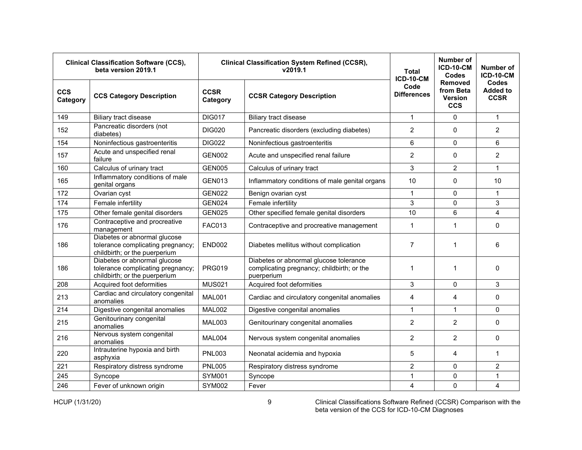| <b>Clinical Classification Software (CCS),</b><br>beta version 2019.1 |                                                                                                    |                         | <b>Clinical Classification System Refined (CCSR),</b><br>v2019.1                                   | <b>Total</b><br><b>ICD-10-CM</b> | <b>Number of</b><br><b>ICD-10-CM</b><br><b>Codes</b> | Number of<br><b>ICD-10-CM</b>                  |
|-----------------------------------------------------------------------|----------------------------------------------------------------------------------------------------|-------------------------|----------------------------------------------------------------------------------------------------|----------------------------------|------------------------------------------------------|------------------------------------------------|
| <b>CCS</b><br>Category                                                | <b>CCS Category Description</b>                                                                    | <b>CCSR</b><br>Category | <b>CCSR Category Description</b>                                                                   | Code<br><b>Differences</b>       | <b>Removed</b><br>from Beta<br>Version<br><b>CCS</b> | <b>Codes</b><br><b>Added to</b><br><b>CCSR</b> |
| 149                                                                   | Biliary tract disease                                                                              | <b>DIG017</b>           | Biliary tract disease                                                                              | $\mathbf{1}$                     | 0                                                    | $\mathbf{1}$                                   |
| 152                                                                   | Pancreatic disorders (not<br>diabetes)                                                             | <b>DIG020</b>           | Pancreatic disorders (excluding diabetes)                                                          | $\overline{2}$                   | 0                                                    | $\overline{2}$                                 |
| 154                                                                   | Noninfectious gastroenteritis                                                                      | <b>DIG022</b>           | Noninfectious gastroenteritis                                                                      | 6                                | $\Omega$                                             | 6                                              |
| 157                                                                   | Acute and unspecified renal<br>failure                                                             | <b>GEN002</b>           | Acute and unspecified renal failure                                                                | $\overline{2}$                   | $\Omega$                                             | $\overline{2}$                                 |
| 160                                                                   | Calculus of urinary tract                                                                          | <b>GEN005</b>           | Calculus of urinary tract                                                                          | 3                                | $\overline{2}$                                       | $\mathbf{1}$                                   |
| 165                                                                   | Inflammatory conditions of male<br>genital organs                                                  | <b>GEN013</b>           | Inflammatory conditions of male genital organs                                                     | 10                               | 0                                                    | 10                                             |
| 172                                                                   | Ovarian cyst                                                                                       | <b>GEN022</b>           | Benign ovarian cyst                                                                                | $\mathbf{1}$                     | $\Omega$                                             | $\mathbf{1}$                                   |
| 174                                                                   | Female infertility                                                                                 | <b>GEN024</b>           | Female infertility                                                                                 | 3                                | 0                                                    | 3                                              |
| 175                                                                   | Other female genital disorders                                                                     | <b>GEN025</b>           | Other specified female genital disorders                                                           | 10                               | 6                                                    | $\overline{4}$                                 |
| 176                                                                   | Contraceptive and procreative<br>management                                                        | <b>FAC013</b>           | Contraceptive and procreative management                                                           | $\mathbf{1}$                     | 1                                                    | 0                                              |
| 186                                                                   | Diabetes or abnormal glucose<br>tolerance complicating pregnancy;<br>childbirth; or the puerperium | <b>END002</b>           | Diabetes mellitus without complication                                                             | $\overline{7}$                   | 1                                                    | 6                                              |
| 186                                                                   | Diabetes or abnormal glucose<br>tolerance complicating pregnancy;<br>childbirth; or the puerperium | <b>PRG019</b>           | Diabetes or abnormal glucose tolerance<br>complicating pregnancy; childbirth; or the<br>puerperium | $\mathbf{1}$                     | 1                                                    | 0                                              |
| 208                                                                   | Acquired foot deformities                                                                          | <b>MUS021</b>           | Acquired foot deformities                                                                          | 3                                | 0                                                    | 3                                              |
| 213                                                                   | Cardiac and circulatory congenital<br>anomalies                                                    | <b>MAL001</b>           | Cardiac and circulatory congenital anomalies                                                       | $\overline{4}$                   | 4                                                    | 0                                              |
| 214                                                                   | Digestive congenital anomalies                                                                     | <b>MAL002</b>           | Digestive congenital anomalies                                                                     | $\mathbf{1}$                     | $\mathbf{1}$                                         | $\Omega$                                       |
| 215                                                                   | Genitourinary congenital<br>anomalies                                                              | MAL003                  | Genitourinary congenital anomalies                                                                 | $\overline{2}$                   | $\overline{2}$                                       | 0                                              |
| 216                                                                   | Nervous system congenital<br>anomalies                                                             | MAL004                  | Nervous system congenital anomalies                                                                | $\overline{2}$                   | $\overline{2}$                                       | $\Omega$                                       |
| 220                                                                   | Intrauterine hypoxia and birth<br>asphyxia                                                         | <b>PNL003</b>           | Neonatal acidemia and hypoxia                                                                      | 5                                | 4                                                    | $\mathbf{1}$                                   |
| 221                                                                   | Respiratory distress syndrome                                                                      | <b>PNL005</b>           | Respiratory distress syndrome                                                                      | $\overline{c}$                   | 0                                                    | $\overline{c}$                                 |
| 245                                                                   | Syncope                                                                                            | <b>SYM001</b>           | Syncope                                                                                            | $\mathbf{1}$                     | $\Omega$                                             | $\mathbf{1}$                                   |
| 246                                                                   | Fever of unknown origin                                                                            | <b>SYM002</b>           | Fever                                                                                              | $\overline{4}$                   | $\mathbf 0$                                          | 4                                              |

HCUP (1/31/20) 9 Clinical Classifications Software Refined (CCSR) Comparison with the beta version of the CCS for ICD-10-CM Diagnoses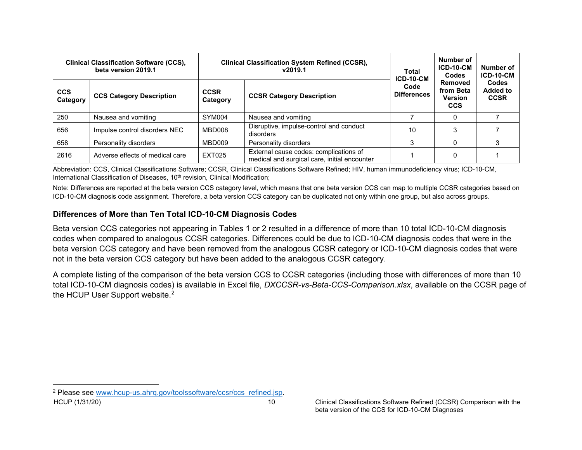<span id="page-11-1"></span>

| <b>Clinical Classification Software (CCS),</b><br>beta version 2019.1 |                                 | <b>Clinical Classification System Refined (CCSR),</b><br>v2019.1 | Total<br>ICD-10-CM                                                                     | Number of<br><b>ICD-10-CM</b><br>Codes | Number of<br><b>ICD-10-CM</b>                        |                                         |
|-----------------------------------------------------------------------|---------------------------------|------------------------------------------------------------------|----------------------------------------------------------------------------------------|----------------------------------------|------------------------------------------------------|-----------------------------------------|
| <b>CCS</b><br>Category                                                | <b>CCS Category Description</b> | <b>CCSR</b><br>Category                                          | Code<br><b>Differences</b><br><b>CCSR Category Description</b>                         |                                        | Removed<br>from Beta<br><b>Version</b><br><b>CCS</b> | Codes<br><b>Added to</b><br><b>CCSR</b> |
| 250                                                                   | Nausea and vomiting             | SYM004                                                           | Nausea and vomiting                                                                    |                                        | 0                                                    |                                         |
| 656                                                                   | Impulse control disorders NEC   | MBD008                                                           | Disruptive, impulse-control and conduct<br>disorders                                   |                                        | 3                                                    |                                         |
| 658                                                                   | Personality disorders           | MBD009                                                           | Personality disorders                                                                  |                                        | 0                                                    |                                         |
| 2616                                                                  | Adverse effects of medical care | <b>EXT025</b>                                                    | External cause codes: complications of<br>medical and surgical care, initial encounter |                                        | 0                                                    |                                         |

Abbreviation: CCS, Clinical Classifications Software; CCSR, Clinical Classifications Software Refined; HIV, human immunodeficiency virus; ICD-10-CM, International Classification of Diseases, 10<sup>th</sup> revision, Clinical Modification;

Note: Differences are reported at the beta version CCS category level, which means that one beta version CCS can map to multiple CCSR categories based on ICD-10-CM diagnosis code assignment. Therefore, a beta version CCS category can be duplicated not only within one group, but also across groups.

#### **Differences of More than Ten Total ICD-10-CM Diagnosis Codes**

Beta version CCS categories not appearing in Tables 1 or 2 resulted in a difference of more than 10 total ICD-10-CM diagnosis codes when compared to analogous CCSR categories. Differences could be due to ICD-10-CM diagnosis codes that were in the beta version CCS category and have been removed from the analogous CCSR category or ICD-10-CM diagnosis codes that were not in the beta version CCS category but have been added to the analogous CCSR category.

A complete listing of the comparison of the beta version CCS to CCSR categories (including those with differences of more than 10 total ICD-10-CM diagnosis codes) is available in Excel file, *DXCCSR-vs-Beta-CCS-Comparison.xlsx*, available on the CCSR page of the HCUP User Support website. $^{\text{2}}$  $^{\text{2}}$  $^{\text{2}}$ 

<span id="page-11-0"></span>HCUP (1/31/20) 10 10 Clinical Classifications Software Refined (CCSR) Comparison with the <sup>2</sup> Please see [www.hcup-us.ahrq.gov/toolssoftware/ccsr/ccs\\_refined.jsp.](http://www.hcup-us.ahrq.gov/toolssoftware/ccsr/ccs_refined.jsp)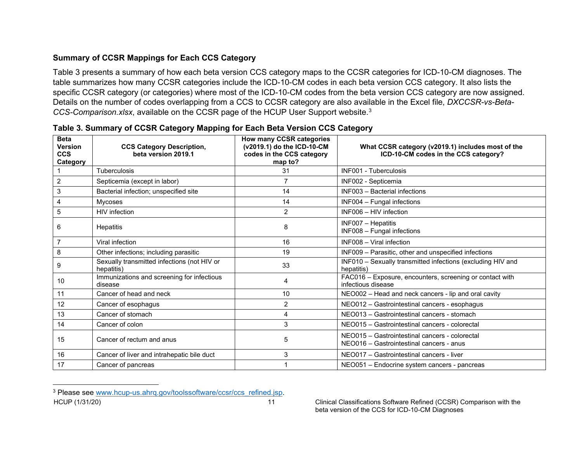# <span id="page-12-1"></span>**Summary of CCSR Mappings for Each CCS Category**

Table 3 presents a summary of how each beta version CCS category maps to the CCSR categories for ICD-10-CM diagnoses. The table summarizes how many CCSR categories include the ICD-10-CM codes in each beta version CCS category. It also lists the specific CCSR category (or categories) where most of the ICD-10-CM codes from the beta version CCS category are now assigned. Details on the number of codes overlapping from a CCS to CCSR category are also available in the Excel file, *DXCCSR-vs-Beta-CCS-Comparison.xlsx*, available on the CCSR page of the HCUP User Support website.[3](#page-12-1)

<span id="page-12-0"></span>

| <b>Beta</b><br><b>Version</b><br><b>CCS</b><br>Category | <b>CCS Category Description,</b><br>beta version 2019.1   | How many CCSR categories<br>(v2019.1) do the ICD-10-CM<br>codes in the CCS category<br>map to? | What CCSR category (v2019.1) includes most of the<br>ICD-10-CM codes in the CCS category?  |
|---------------------------------------------------------|-----------------------------------------------------------|------------------------------------------------------------------------------------------------|--------------------------------------------------------------------------------------------|
|                                                         | <b>Tuberculosis</b>                                       | 31                                                                                             | <b>INF001 - Tuberculosis</b>                                                               |
| $\overline{2}$                                          | Septicemia (except in labor)                              | 7                                                                                              | INF002 - Septicemia                                                                        |
| 3                                                       | Bacterial infection; unspecified site                     | 14                                                                                             | INF003 - Bacterial infections                                                              |
| $\overline{4}$                                          | <b>Mycoses</b>                                            | 14                                                                                             | INF004 - Fungal infections                                                                 |
| 5                                                       | HIV infection                                             | $\overline{2}$                                                                                 | INF006 - HIV infection                                                                     |
| 6                                                       | <b>Hepatitis</b>                                          | 8                                                                                              | INF007 - Hepatitis<br>INF008 - Fungal infections                                           |
| $\overline{7}$                                          | Viral infection                                           | 16                                                                                             | INF008 - Viral infection                                                                   |
| 8                                                       | Other infections; including parasitic                     | 19                                                                                             | INF009 - Parasitic, other and unspecified infections                                       |
| 9                                                       | Sexually transmitted infections (not HIV or<br>hepatitis) | 33                                                                                             | INF010 - Sexually transmitted infections (excluding HIV and<br>hepatitis)                  |
| 10                                                      | Immunizations and screening for infectious<br>disease     | 4                                                                                              | FAC016 - Exposure, encounters, screening or contact with<br>infectious disease             |
| 11                                                      | Cancer of head and neck                                   | 10                                                                                             | NEO002 - Head and neck cancers - lip and oral cavity                                       |
| 12                                                      | Cancer of esophagus                                       | $\overline{c}$                                                                                 | NEO012 - Gastrointestinal cancers - esophagus                                              |
| 13                                                      | Cancer of stomach                                         | 4                                                                                              | NEO013 - Gastrointestinal cancers - stomach                                                |
| 14                                                      | Cancer of colon                                           | 3                                                                                              | NEO015 - Gastrointestinal cancers - colorectal                                             |
| 15                                                      | Cancer of rectum and anus                                 | 5                                                                                              | NEO015 - Gastrointestinal cancers - colorectal<br>NEO016 - Gastrointestinal cancers - anus |
| 16                                                      | Cancer of liver and intrahepatic bile duct                | 3                                                                                              | NEO017 - Gastrointestinal cancers - liver                                                  |
| 17                                                      | Cancer of pancreas                                        |                                                                                                | NEO051 - Endocrine system cancers - pancreas                                               |

|  |  | Table 3. Summary of CCSR Category Mapping for Each Beta Version CCS Category |
|--|--|------------------------------------------------------------------------------|
|  |  |                                                                              |

HCUP (1/31/20) 11 Clinical Classifications Software Refined (CCSR) Comparison with the <sup>3</sup> Please see [www.hcup-us.ahrq.gov/toolssoftware/ccsr/ccs\\_refined.jsp.](http://www.hcup-us.ahrq.gov/toolssoftware/ccsr/ccs_refined.jsp)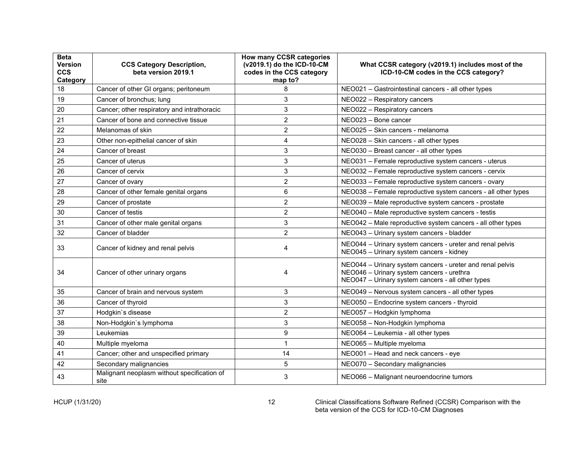| <b>Beta</b><br>Version<br><b>CCS</b><br>Category | <b>CCS Category Description,</b><br>beta version 2019.1 | How many CCSR categories<br>(v2019.1) do the ICD-10-CM<br>codes in the CCS category<br>map to? | What CCSR category (v2019.1) includes most of the<br>ICD-10-CM codes in the CCS category?                                                                   |
|--------------------------------------------------|---------------------------------------------------------|------------------------------------------------------------------------------------------------|-------------------------------------------------------------------------------------------------------------------------------------------------------------|
| 18                                               | Cancer of other GI organs; peritoneum                   | 8                                                                                              | NEO021 - Gastrointestinal cancers - all other types                                                                                                         |
| 19                                               | Cancer of bronchus; lung                                | 3                                                                                              | NEO022 - Respiratory cancers                                                                                                                                |
| 20                                               | Cancer; other respiratory and intrathoracic             | 3                                                                                              | NEO022 - Respiratory cancers                                                                                                                                |
| 21                                               | Cancer of bone and connective tissue                    | $\overline{2}$                                                                                 | NEO023 - Bone cancer                                                                                                                                        |
| 22                                               | Melanomas of skin                                       | $\overline{2}$                                                                                 | NEO025 - Skin cancers - melanoma                                                                                                                            |
| 23                                               | Other non-epithelial cancer of skin                     | 4                                                                                              | NEO028 - Skin cancers - all other types                                                                                                                     |
| 24                                               | Cancer of breast                                        | 3                                                                                              | NEO030 - Breast cancer - all other types                                                                                                                    |
| 25                                               | Cancer of uterus                                        | 3                                                                                              | NEO031 - Female reproductive system cancers - uterus                                                                                                        |
| 26                                               | Cancer of cervix                                        | 3                                                                                              | NEO032 - Female reproductive system cancers - cervix                                                                                                        |
| 27                                               | Cancer of ovary                                         | 2                                                                                              | NEO033 - Female reproductive system cancers - ovary                                                                                                         |
| 28                                               | Cancer of other female genital organs                   | 6                                                                                              | NEO038 - Female reproductive system cancers - all other types                                                                                               |
| 29                                               | Cancer of prostate                                      | $\overline{2}$                                                                                 | NEO039 - Male reproductive system cancers - prostate                                                                                                        |
| 30                                               | Cancer of testis                                        | $\overline{2}$                                                                                 | NEO040 - Male reproductive system cancers - testis                                                                                                          |
| 31                                               | Cancer of other male genital organs                     | 3                                                                                              | NEO042 - Male reproductive system cancers - all other types                                                                                                 |
| 32                                               | Cancer of bladder                                       | $\overline{2}$                                                                                 | NEO043 - Urinary system cancers - bladder                                                                                                                   |
| 33                                               | Cancer of kidney and renal pelvis                       | 4                                                                                              | NEO044 - Urinary system cancers - ureter and renal pelvis<br>NEO045 - Urinary system cancers - kidney                                                       |
| 34                                               | Cancer of other urinary organs                          | 4                                                                                              | NEO044 - Urinary system cancers - ureter and renal pelvis<br>NEO046 - Urinary system cancers - urethra<br>NEO047 - Urinary system cancers - all other types |
| 35                                               | Cancer of brain and nervous system                      | 3                                                                                              | NEO049 - Nervous system cancers - all other types                                                                                                           |
| 36                                               | Cancer of thyroid                                       | 3                                                                                              | NEO050 - Endocrine system cancers - thyroid                                                                                                                 |
| 37                                               | Hodgkin's disease                                       | 2                                                                                              | NEO057 - Hodgkin lymphoma                                                                                                                                   |
| 38                                               | Non-Hodgkin's lymphoma                                  | 3                                                                                              | NEO058 - Non-Hodgkin lymphoma                                                                                                                               |
| 39                                               | Leukemias                                               | 9                                                                                              | NEO064 - Leukemia - all other types                                                                                                                         |
| 40                                               | Multiple myeloma                                        | $\mathbf{1}$                                                                                   | NEO065 - Multiple myeloma                                                                                                                                   |
| 41                                               | Cancer; other and unspecified primary                   | 14                                                                                             | NEO001 - Head and neck cancers - eye                                                                                                                        |
| 42                                               | Secondary malignancies                                  | 5                                                                                              | NEO070 - Secondary malignancies                                                                                                                             |
| 43                                               | Malignant neoplasm without specification of<br>site     | 3                                                                                              | NEO066 - Malignant neuroendocrine tumors                                                                                                                    |

HCUP (1/31/20) 12 Clinical Classifications Software Refined (CCSR) Comparison with the beta version of the CCS for ICD-10-CM Diagnoses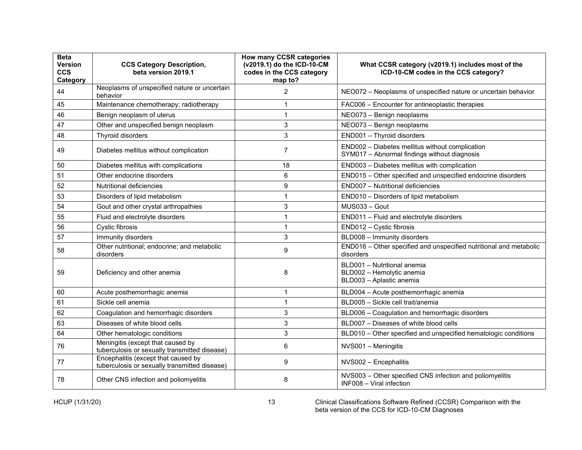| <b>Beta</b><br><b>Version</b><br><b>CCS</b><br>Category | <b>CCS Category Description,</b><br>beta version 2019.1                              | How many CCSR categories<br>(v2019.1) do the ICD-10-CM<br>codes in the CCS category<br>map to? | What CCSR category (v2019.1) includes most of the<br>ICD-10-CM codes in the CCS category?       |
|---------------------------------------------------------|--------------------------------------------------------------------------------------|------------------------------------------------------------------------------------------------|-------------------------------------------------------------------------------------------------|
| 44                                                      | Neoplasms of unspecified nature or uncertain<br>behavior                             | $\overline{2}$                                                                                 | NEO072 - Neoplasms of unspecified nature or uncertain behavior                                  |
| 45                                                      | Maintenance chemotherapy; radiotherapy                                               | 1                                                                                              | FAC006 - Encounter for antineoplastic therapies                                                 |
| 46                                                      | Benign neoplasm of uterus                                                            | 1                                                                                              | NEO073 - Benign neoplasms                                                                       |
| 47                                                      | Other and unspecified benign neoplasm                                                | 3                                                                                              | NEO073 - Benign neoplasms                                                                       |
| 48                                                      | Thyroid disorders                                                                    | 3                                                                                              | END001 - Thyroid disorders                                                                      |
| 49                                                      | Diabetes mellitus without complication                                               | $\overline{7}$                                                                                 | END002 - Diabetes mellitus without complication<br>SYM017 - Abnormal findings without diagnosis |
| 50                                                      | Diabetes mellitus with complications                                                 | 18                                                                                             | END003 - Diabetes mellitus with complication                                                    |
| 51                                                      | Other endocrine disorders                                                            | 6                                                                                              | END015 - Other specified and unspecified endocrine disorders                                    |
| 52                                                      | Nutritional deficiencies                                                             | 9                                                                                              | END007 - Nutritional deficiencies                                                               |
| 53                                                      | Disorders of lipid metabolism                                                        | 1                                                                                              | END010 - Disorders of lipid metabolism                                                          |
| 54                                                      | Gout and other crystal arthropathies                                                 | 3                                                                                              | MUS033 - Gout                                                                                   |
| 55                                                      | Fluid and electrolyte disorders                                                      | 1                                                                                              | END011 - Fluid and electrolyte disorders                                                        |
| 56                                                      | Cystic fibrosis                                                                      | 1                                                                                              | END012 - Cystic fibrosis                                                                        |
| 57                                                      | Immunity disorders                                                                   | 3                                                                                              | BLD008 - Immunity disorders                                                                     |
| 58                                                      | Other nutritional; endocrine; and metabolic<br>disorders                             | 9                                                                                              | END016 - Other specified and unspecified nutritional and metabolic<br>disorders                 |
| 59                                                      | Deficiency and other anemia                                                          | 8                                                                                              | BLD001 - Nutritional anemia<br>BLD002 - Hemolytic anemia<br>BLD003 - Aplastic anemia            |
| 60                                                      | Acute posthemorrhagic anemia                                                         | 1                                                                                              | BLD004 - Acute posthemorrhagic anemia                                                           |
| 61                                                      | Sickle cell anemia                                                                   | 1                                                                                              | BLD005 - Sickle cell trait/anemia                                                               |
| 62                                                      | Coagulation and hemorrhagic disorders                                                | 3                                                                                              | BLD006 - Coagulation and hemorrhagic disorders                                                  |
| 63                                                      | Diseases of white blood cells                                                        | 3                                                                                              | BLD007 - Diseases of white blood cells                                                          |
| 64                                                      | Other hematologic conditions                                                         | 3                                                                                              | BLD010 - Other specified and unspecified hematologic conditions                                 |
| 76                                                      | Meningitis (except that caused by<br>tuberculosis or sexually transmitted disease)   | 6                                                                                              | NVS001 - Meningitis                                                                             |
| 77                                                      | Encephalitis (except that caused by<br>tuberculosis or sexually transmitted disease) | 9                                                                                              | NVS002 - Encephalitis                                                                           |
| 78                                                      | Other CNS infection and poliomyelitis                                                | 8                                                                                              | NVS003 - Other specified CNS infection and poliomyelitis<br>INF008 - Viral infection            |

HCUP (1/31/20) 13 Clinical Classifications Software Refined (CCSR) Comparison with the beta version of the CCS for ICD-10-CM Diagnoses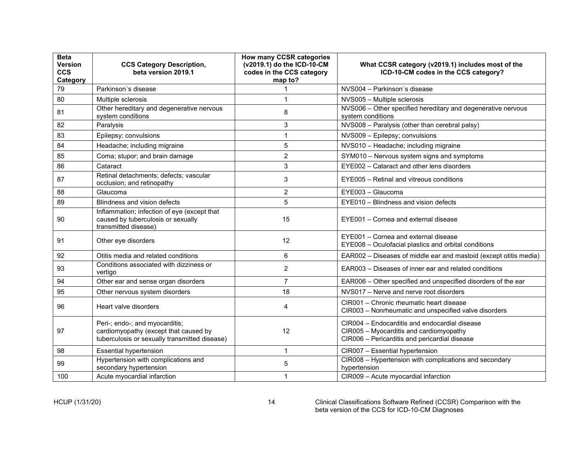| <b>Beta</b><br><b>Version</b><br><b>CCS</b><br>Category | <b>CCS Category Description,</b><br>beta version 2019.1                                                                  | How many CCSR categories<br>(v2019.1) do the ICD-10-CM<br>codes in the CCS category<br>map to? | What CCSR category (v2019.1) includes most of the<br>ICD-10-CM codes in the CCS category?                                                 |
|---------------------------------------------------------|--------------------------------------------------------------------------------------------------------------------------|------------------------------------------------------------------------------------------------|-------------------------------------------------------------------------------------------------------------------------------------------|
| 79                                                      | Parkinson's disease                                                                                                      |                                                                                                | NVS004 - Parkinson's disease                                                                                                              |
| 80                                                      | Multiple sclerosis                                                                                                       | 1                                                                                              | NVS005 - Multiple sclerosis                                                                                                               |
| 81                                                      | Other hereditary and degenerative nervous<br>system conditions                                                           | 8                                                                                              | NVS006 - Other specified hereditary and degenerative nervous<br>system conditions                                                         |
| 82                                                      | Paralysis                                                                                                                | 3                                                                                              | NVS008 - Paralysis (other than cerebral palsy)                                                                                            |
| 83                                                      | Epilepsy; convulsions                                                                                                    | 1                                                                                              | NVS009 - Epilepsy; convulsions                                                                                                            |
| 84                                                      | Headache; including migraine                                                                                             | 5                                                                                              | NVS010 - Headache; including migraine                                                                                                     |
| 85                                                      | Coma; stupor; and brain damage                                                                                           | $\overline{2}$                                                                                 | SYM010 - Nervous system signs and symptoms                                                                                                |
| 86                                                      | Cataract                                                                                                                 | 3                                                                                              | EYE002 - Cataract and other lens disorders                                                                                                |
| 87                                                      | Retinal detachments; defects; vascular<br>occlusion; and retinopathy                                                     | 3                                                                                              | EYE005 - Retinal and vitreous conditions                                                                                                  |
| 88                                                      | Glaucoma                                                                                                                 | $\overline{2}$                                                                                 | EYE003 - Glaucoma                                                                                                                         |
| 89                                                      | Blindness and vision defects                                                                                             | 5                                                                                              | EYE010 - Blindness and vision defects                                                                                                     |
| 90                                                      | Inflammation; infection of eye (except that<br>caused by tuberculosis or sexually<br>transmitted disease)                | 15                                                                                             | EYE001 - Cornea and external disease                                                                                                      |
| 91                                                      | Other eye disorders                                                                                                      | 12                                                                                             | EYE001 - Cornea and external disease<br>EYE008 - Oculofacial plastics and orbital conditions                                              |
| 92                                                      | Otitis media and related conditions                                                                                      | 6                                                                                              | EAR002 - Diseases of middle ear and mastoid (except otitis media)                                                                         |
| 93                                                      | Conditions associated with dizziness or<br>vertigo                                                                       | 2                                                                                              | EAR003 – Diseases of inner ear and related conditions                                                                                     |
| 94                                                      | Other ear and sense organ disorders                                                                                      | $\overline{7}$                                                                                 | EAR006 - Other specified and unspecified disorders of the ear                                                                             |
| 95                                                      | Other nervous system disorders                                                                                           | 18                                                                                             | NVS017 - Nerve and nerve root disorders                                                                                                   |
| 96                                                      | Heart valve disorders                                                                                                    | 4                                                                                              | CIR001 – Chronic rheumatic heart disease<br>CIR003 - Nonrheumatic and unspecified valve disorders                                         |
| 97                                                      | Peri-; endo-; and myocarditis;<br>cardiomyopathy (except that caused by<br>tuberculosis or sexually transmitted disease) | 12                                                                                             | CIR004 – Endocarditis and endocardial disease<br>CIR005 - Myocarditis and cardiomyopathy<br>CIR006 - Pericarditis and pericardial disease |
| 98                                                      | <b>Essential hypertension</b>                                                                                            | $\mathbf 1$                                                                                    | CIR007 - Essential hypertension                                                                                                           |
| 99                                                      | Hypertension with complications and<br>secondary hypertension                                                            | 5                                                                                              | CIR008 - Hypertension with complications and secondary<br>hypertension                                                                    |
| 100                                                     | Acute myocardial infarction                                                                                              | 1                                                                                              | CIR009 - Acute myocardial infarction                                                                                                      |

HCUP (1/31/20) 14 Clinical Classifications Software Refined (CCSR) Comparison with the beta version of the CCS for ICD-10-CM Diagnoses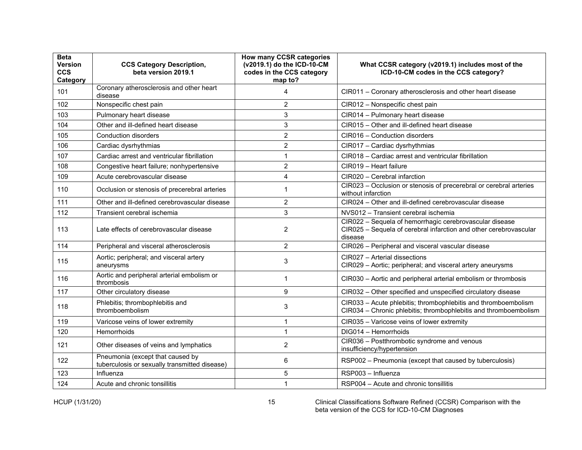| <b>Beta</b><br>Version<br><b>CCS</b><br>Category | <b>CCS Category Description,</b><br>beta version 2019.1                           | How many CCSR categories<br>(v2019.1) do the ICD-10-CM<br>codes in the CCS category<br>map to? | What CCSR category (v2019.1) includes most of the<br>ICD-10-CM codes in the CCS category?                                               |
|--------------------------------------------------|-----------------------------------------------------------------------------------|------------------------------------------------------------------------------------------------|-----------------------------------------------------------------------------------------------------------------------------------------|
| 101                                              | Coronary atherosclerosis and other heart<br>disease                               | 4                                                                                              | CIR011 - Coronary atherosclerosis and other heart disease                                                                               |
| 102                                              | Nonspecific chest pain                                                            | $\overline{2}$                                                                                 | CIR012 - Nonspecific chest pain                                                                                                         |
| 103                                              | Pulmonary heart disease                                                           | 3                                                                                              | CIR014 - Pulmonary heart disease                                                                                                        |
| 104                                              | Other and ill-defined heart disease                                               | 3                                                                                              | CIR015 - Other and ill-defined heart disease                                                                                            |
| 105                                              | Conduction disorders                                                              | $\overline{2}$                                                                                 | CIR016 - Conduction disorders                                                                                                           |
| 106                                              | Cardiac dysrhythmias                                                              | $\overline{2}$                                                                                 | CIR017 - Cardiac dysrhythmias                                                                                                           |
| 107                                              | Cardiac arrest and ventricular fibrillation                                       | 1                                                                                              | CIR018 - Cardiac arrest and ventricular fibrillation                                                                                    |
| 108                                              | Congestive heart failure; nonhypertensive                                         | $\overline{2}$                                                                                 | CIR019 - Heart failure                                                                                                                  |
| 109                                              | Acute cerebrovascular disease                                                     | 4                                                                                              | CIR020 - Cerebral infarction                                                                                                            |
| 110                                              | Occlusion or stenosis of precerebral arteries                                     | 1                                                                                              | CIR023 - Occlusion or stenosis of precerebral or cerebral arteries<br>without infarction                                                |
| 111                                              | Other and ill-defined cerebrovascular disease                                     | 2                                                                                              | CIR024 - Other and ill-defined cerebrovascular disease                                                                                  |
| 112                                              | Transient cerebral ischemia                                                       | 3                                                                                              | NVS012 - Transient cerebral ischemia                                                                                                    |
| 113                                              | Late effects of cerebrovascular disease                                           | $\overline{2}$                                                                                 | CIR022 - Sequela of hemorrhagic cerebrovascular disease<br>CIR025 - Sequela of cerebral infarction and other cerebrovascular<br>disease |
| 114                                              | Peripheral and visceral atherosclerosis                                           | $\overline{2}$                                                                                 | CIR026 - Peripheral and visceral vascular disease                                                                                       |
| 115                                              | Aortic; peripheral; and visceral artery<br>aneurysms                              | 3                                                                                              | CIR027 - Arterial dissections<br>CIR029 - Aortic; peripheral; and visceral artery aneurysms                                             |
| 116                                              | Aortic and peripheral arterial embolism or<br>thrombosis                          | 1                                                                                              | CIR030 - Aortic and peripheral arterial embolism or thrombosis                                                                          |
| 117                                              | Other circulatory disease                                                         | 9                                                                                              | CIR032 - Other specified and unspecified circulatory disease                                                                            |
| 118                                              | Phlebitis; thrombophlebitis and<br>thromboembolism                                | 3                                                                                              | CIR033 - Acute phlebitis; thrombophlebitis and thromboembolism<br>CIR034 - Chronic phlebitis; thrombophlebitis and thromboembolism      |
| 119                                              | Varicose veins of lower extremity                                                 | 1                                                                                              | CIR035 - Varicose veins of lower extremity                                                                                              |
| 120                                              | Hemorrhoids                                                                       | 1                                                                                              | DIG014 - Hemorrhoids                                                                                                                    |
| 121                                              | Other diseases of veins and lymphatics                                            | $\overline{2}$                                                                                 | CIR036 - Postthrombotic syndrome and venous<br>insufficiency/hypertension                                                               |
| 122                                              | Pneumonia (except that caused by<br>tuberculosis or sexually transmitted disease) | 6                                                                                              | RSP002 - Pneumonia (except that caused by tuberculosis)                                                                                 |
| 123                                              | Influenza                                                                         | 5                                                                                              | RSP003 - Influenza                                                                                                                      |
| 124                                              | Acute and chronic tonsillitis                                                     | 1                                                                                              | RSP004 - Acute and chronic tonsillitis                                                                                                  |

HCUP (1/31/20) 15 Clinical Classifications Software Refined (CCSR) Comparison with the beta version of the CCS for ICD-10-CM Diagnoses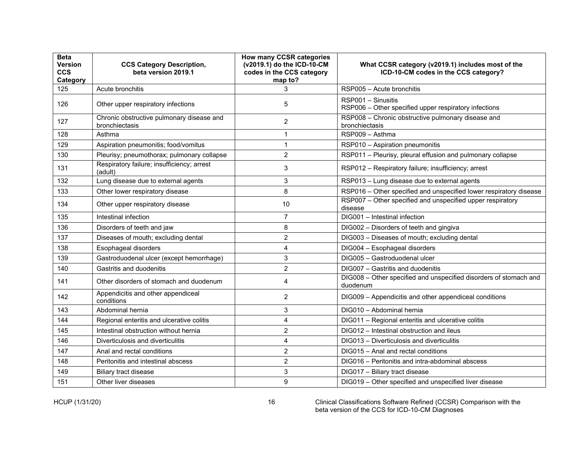| <b>Beta</b><br>Version<br><b>CCS</b><br>Category | <b>CCS Category Description,</b><br>beta version 2019.1     | How many CCSR categories<br>(v2019.1) do the ICD-10-CM<br>codes in the CCS category<br>map to? | What CCSR category (v2019.1) includes most of the<br>ICD-10-CM codes in the CCS category? |
|--------------------------------------------------|-------------------------------------------------------------|------------------------------------------------------------------------------------------------|-------------------------------------------------------------------------------------------|
| 125                                              | Acute bronchitis                                            | 3                                                                                              | RSP005 - Acute bronchitis                                                                 |
| 126                                              | Other upper respiratory infections                          | 5                                                                                              | RSP001 - Sinusitis<br>RSP006 - Other specified upper respiratory infections               |
| 127                                              | Chronic obstructive pulmonary disease and<br>bronchiectasis | 2                                                                                              | RSP008 - Chronic obstructive pulmonary disease and<br>bronchiectasis                      |
| 128                                              | Asthma                                                      | 1                                                                                              | RSP009 - Asthma                                                                           |
| 129                                              | Aspiration pneumonitis; food/vomitus                        | $\mathbf 1$                                                                                    | RSP010 - Aspiration pneumonitis                                                           |
| 130                                              | Pleurisy; pneumothorax; pulmonary collapse                  | $\overline{2}$                                                                                 | RSP011 - Pleurisy, pleural effusion and pulmonary collapse                                |
| 131                                              | Respiratory failure; insufficiency; arrest<br>(adult)       | 3                                                                                              | RSP012 - Respiratory failure; insufficiency; arrest                                       |
| 132                                              | Lung disease due to external agents                         | 3                                                                                              | RSP013 - Lung disease due to external agents                                              |
| 133                                              | Other lower respiratory disease                             | 8                                                                                              | RSP016 - Other specified and unspecified lower respiratory disease                        |
| 134                                              | Other upper respiratory disease                             | 10                                                                                             | RSP007 - Other specified and unspecified upper respiratory<br>disease                     |
| 135                                              | Intestinal infection                                        | $\overline{7}$                                                                                 | DIG001 - Intestinal infection                                                             |
| 136                                              | Disorders of teeth and jaw                                  | 8                                                                                              | DIG002 - Disorders of teeth and gingiva                                                   |
| 137                                              | Diseases of mouth; excluding dental                         | $\overline{2}$                                                                                 | DIG003 - Diseases of mouth; excluding dental                                              |
| 138                                              | Esophageal disorders                                        | 4                                                                                              | DIG004 - Esophageal disorders                                                             |
| 139                                              | Gastroduodenal ulcer (except hemorrhage)                    | 3                                                                                              | DIG005 - Gastroduodenal ulcer                                                             |
| 140                                              | Gastritis and duodenitis                                    | $\overline{c}$                                                                                 | DIG007 - Gastritis and duodenitis                                                         |
| 141                                              | Other disorders of stomach and duodenum                     | 4                                                                                              | DIG008 - Other specified and unspecified disorders of stomach and<br>duodenum             |
| 142                                              | Appendicitis and other appendiceal<br>conditions            | $\overline{2}$                                                                                 | DIG009 - Appendicitis and other appendiceal conditions                                    |
| 143                                              | Abdominal hernia                                            | 3                                                                                              | DIG010 - Abdominal hernia                                                                 |
| 144                                              | Regional enteritis and ulcerative colitis                   | 4                                                                                              | DIG011 - Regional enteritis and ulcerative colitis                                        |
| 145                                              | Intestinal obstruction without hernia                       | $\overline{2}$                                                                                 | DIG012 - Intestinal obstruction and ileus                                                 |
| 146                                              | Diverticulosis and diverticulitis                           | 4                                                                                              | DIG013 - Diverticulosis and diverticulitis                                                |
| 147                                              | Anal and rectal conditions                                  | $\overline{2}$                                                                                 | DIG015 - Anal and rectal conditions                                                       |
| 148                                              | Peritonitis and intestinal abscess                          | $\overline{2}$                                                                                 | DIG016 – Peritonitis and intra-abdominal abscess                                          |
| 149                                              | Biliary tract disease                                       | 3                                                                                              | DIG017 - Biliary tract disease                                                            |
| 151                                              | Other liver diseases                                        | 9                                                                                              | DIG019 - Other specified and unspecified liver disease                                    |

HCUP (1/31/20) 16 Clinical Classifications Software Refined (CCSR) Comparison with the beta version of the CCS for ICD-10-CM Diagnoses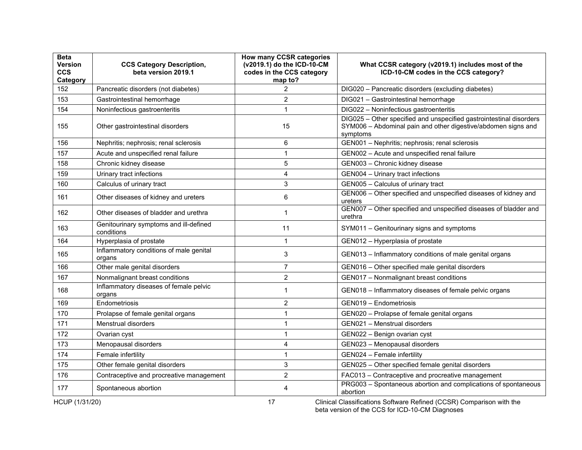| <b>Beta</b><br>Version<br><b>CCS</b><br>Category | <b>CCS Category Description,</b><br>beta version 2019.1 | How many CCSR categories<br>(v2019.1) do the ICD-10-CM<br>codes in the CCS category<br>map to? | What CCSR category (v2019.1) includes most of the<br>ICD-10-CM codes in the CCS category?                                                        |
|--------------------------------------------------|---------------------------------------------------------|------------------------------------------------------------------------------------------------|--------------------------------------------------------------------------------------------------------------------------------------------------|
| 152                                              | Pancreatic disorders (not diabetes)                     | $\overline{2}$                                                                                 | DIG020 - Pancreatic disorders (excluding diabetes)                                                                                               |
| 153                                              | Gastrointestinal hemorrhage                             | 2                                                                                              | DIG021 - Gastrointestinal hemorrhage                                                                                                             |
| 154                                              | Noninfectious gastroenteritis                           | $\mathbf{1}$                                                                                   | DIG022 - Noninfectious gastroenteritis                                                                                                           |
| 155                                              | Other gastrointestinal disorders                        | 15                                                                                             | DIG025 - Other specified and unspecified gastrointestinal disorders<br>SYM006 - Abdominal pain and other digestive/abdomen signs and<br>symptoms |
| 156                                              | Nephritis; nephrosis; renal sclerosis                   | 6                                                                                              | GEN001 - Nephritis; nephrosis; renal sclerosis                                                                                                   |
| 157                                              | Acute and unspecified renal failure                     | 1                                                                                              | GEN002 - Acute and unspecified renal failure                                                                                                     |
| 158                                              | Chronic kidney disease                                  | 5                                                                                              | GEN003 - Chronic kidney disease                                                                                                                  |
| 159                                              | Urinary tract infections                                | 4                                                                                              | GEN004 - Urinary tract infections                                                                                                                |
| 160                                              | Calculus of urinary tract                               | 3                                                                                              | GEN005 - Calculus of urinary tract                                                                                                               |
| 161                                              | Other diseases of kidney and ureters                    | 6                                                                                              | GEN006 - Other specified and unspecified diseases of kidney and<br>ureters                                                                       |
| 162                                              | Other diseases of bladder and urethra                   | $\mathbf 1$                                                                                    | GEN007 - Other specified and unspecified diseases of bladder and<br>urethra                                                                      |
| 163                                              | Genitourinary symptoms and ill-defined<br>conditions    | 11                                                                                             | SYM011 - Genitourinary signs and symptoms                                                                                                        |
| 164                                              | Hyperplasia of prostate                                 | $\mathbf{1}$                                                                                   | GEN012 - Hyperplasia of prostate                                                                                                                 |
| 165                                              | Inflammatory conditions of male genital<br>organs       | 3                                                                                              | GEN013 - Inflammatory conditions of male genital organs                                                                                          |
| 166                                              | Other male genital disorders                            | $\overline{7}$                                                                                 | GEN016 - Other specified male genital disorders                                                                                                  |
| 167                                              | Nonmalignant breast conditions                          | $\overline{2}$                                                                                 | GEN017 - Nonmalignant breast conditions                                                                                                          |
| 168                                              | Inflammatory diseases of female pelvic<br>organs        | 1                                                                                              | GEN018 - Inflammatory diseases of female pelvic organs                                                                                           |
| 169                                              | Endometriosis                                           | $\overline{2}$                                                                                 | GEN019 - Endometriosis                                                                                                                           |
| 170                                              | Prolapse of female genital organs                       | 1                                                                                              | GEN020 - Prolapse of female genital organs                                                                                                       |
| 171                                              | <b>Menstrual disorders</b>                              | 1                                                                                              | GEN021 - Menstrual disorders                                                                                                                     |
| 172                                              | Ovarian cyst                                            | 1                                                                                              | GEN022 - Benign ovarian cyst                                                                                                                     |
| 173                                              | Menopausal disorders                                    | 4                                                                                              | GEN023 - Menopausal disorders                                                                                                                    |
| 174                                              | Female infertility                                      | 1                                                                                              | GEN024 - Female infertility                                                                                                                      |
| 175                                              | Other female genital disorders                          | 3                                                                                              | GEN025 - Other specified female genital disorders                                                                                                |
| 176                                              | Contraceptive and procreative management                | $\overline{2}$                                                                                 | FAC013 - Contraceptive and procreative management                                                                                                |
| 177                                              | Spontaneous abortion                                    | 4                                                                                              | PRG003 - Spontaneous abortion and complications of spontaneous<br>abortion                                                                       |
| HCUP (1/31/20)                                   |                                                         | 17                                                                                             | Clinical Classifications Software Refined (CCSR) Comparison with the                                                                             |

beta version of the CCS for ICD-10-CM Diagnoses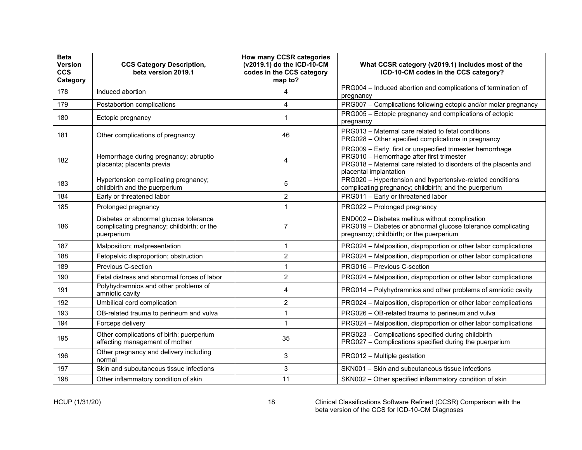| <b>Beta</b><br>Version<br><b>CCS</b><br>Category | <b>CCS Category Description,</b><br>beta version 2019.1                                            | How many CCSR categories<br>(v2019.1) do the ICD-10-CM<br>codes in the CCS category<br>map to? | What CCSR category (v2019.1) includes most of the<br>ICD-10-CM codes in the CCS category?                                                                                                           |
|--------------------------------------------------|----------------------------------------------------------------------------------------------------|------------------------------------------------------------------------------------------------|-----------------------------------------------------------------------------------------------------------------------------------------------------------------------------------------------------|
| 178                                              | Induced abortion                                                                                   | 4                                                                                              | PRG004 - Induced abortion and complications of termination of<br>pregnancy                                                                                                                          |
| 179                                              | Postabortion complications                                                                         | 4                                                                                              | PRG007 - Complications following ectopic and/or molar pregnancy                                                                                                                                     |
| 180                                              | Ectopic pregnancy                                                                                  | 1                                                                                              | PRG005 - Ectopic pregnancy and complications of ectopic<br>pregnancy                                                                                                                                |
| 181                                              | Other complications of pregnancy                                                                   | 46                                                                                             | PRG013 - Maternal care related to fetal conditions<br>PRG028 - Other specified complications in pregnancy                                                                                           |
| 182                                              | Hemorrhage during pregnancy; abruptio<br>placenta; placenta previa                                 | 4                                                                                              | PRG009 - Early, first or unspecified trimester hemorrhage<br>PRG010 - Hemorrhage after first trimester<br>PRG018 - Maternal care related to disorders of the placenta and<br>placental implantation |
| 183                                              | Hypertension complicating pregnancy;<br>childbirth and the puerperium                              | 5                                                                                              | PRG020 - Hypertension and hypertensive-related conditions<br>complicating pregnancy; childbirth; and the puerperium                                                                                 |
| 184                                              | Early or threatened labor                                                                          | $\overline{2}$                                                                                 | PRG011 - Early or threatened labor                                                                                                                                                                  |
| 185                                              | Prolonged pregnancy                                                                                | 1                                                                                              | PRG022 - Prolonged pregnancy                                                                                                                                                                        |
| 186                                              | Diabetes or abnormal glucose tolerance<br>complicating pregnancy; childbirth; or the<br>puerperium | 7                                                                                              | END002 - Diabetes mellitus without complication<br>PRG019 - Diabetes or abnormal glucose tolerance complicating<br>pregnancy; childbirth; or the puerperium                                         |
| 187                                              | Malposition; malpresentation                                                                       | 1                                                                                              | PRG024 - Malposition, disproportion or other labor complications                                                                                                                                    |
| 188                                              | Fetopelvic disproportion; obstruction                                                              | $\overline{2}$                                                                                 | PRG024 - Malposition, disproportion or other labor complications                                                                                                                                    |
| 189                                              | <b>Previous C-section</b>                                                                          | 1                                                                                              | PRG016 - Previous C-section                                                                                                                                                                         |
| 190                                              | Fetal distress and abnormal forces of labor                                                        | $\overline{2}$                                                                                 | PRG024 - Malposition, disproportion or other labor complications                                                                                                                                    |
| 191                                              | Polyhydramnios and other problems of<br>amniotic cavity                                            | 4                                                                                              | PRG014 - Polyhydramnios and other problems of amniotic cavity                                                                                                                                       |
| 192                                              | Umbilical cord complication                                                                        | $\overline{c}$                                                                                 | PRG024 - Malposition, disproportion or other labor complications                                                                                                                                    |
| 193                                              | OB-related trauma to perineum and vulva                                                            | 1                                                                                              | PRG026 - OB-related trauma to perineum and vulva                                                                                                                                                    |
| 194                                              | Forceps delivery                                                                                   | 1                                                                                              | PRG024 - Malposition, disproportion or other labor complications                                                                                                                                    |
| 195                                              | Other complications of birth; puerperium<br>affecting management of mother                         | 35                                                                                             | PRG023 - Complications specified during childbirth<br>PRG027 - Complications specified during the puerperium                                                                                        |
| 196                                              | Other pregnancy and delivery including<br>normal                                                   | 3                                                                                              | PRG012 - Multiple gestation                                                                                                                                                                         |
| 197                                              | Skin and subcutaneous tissue infections                                                            | 3                                                                                              | SKN001 - Skin and subcutaneous tissue infections                                                                                                                                                    |
| 198                                              | Other inflammatory condition of skin                                                               | 11                                                                                             | SKN002 - Other specified inflammatory condition of skin                                                                                                                                             |

HCUP (1/31/20) 18 Clinical Classifications Software Refined (CCSR) Comparison with the beta version of the CCS for ICD-10-CM Diagnoses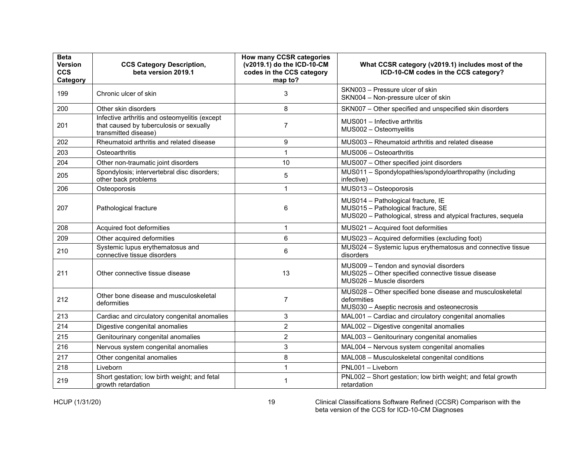| <b>Beta</b><br><b>Version</b><br><b>CCS</b><br>Category | <b>CCS Category Description,</b><br>beta version 2019.1                                                          | <b>How many CCSR categories</b><br>(v2019.1) do the ICD-10-CM<br>codes in the CCS category<br>map to? | What CCSR category (v2019.1) includes most of the<br>ICD-10-CM codes in the CCS category?                                                 |
|---------------------------------------------------------|------------------------------------------------------------------------------------------------------------------|-------------------------------------------------------------------------------------------------------|-------------------------------------------------------------------------------------------------------------------------------------------|
| 199                                                     | Chronic ulcer of skin                                                                                            | 3                                                                                                     | SKN003 - Pressure ulcer of skin<br>SKN004 - Non-pressure ulcer of skin                                                                    |
| 200                                                     | Other skin disorders                                                                                             | 8                                                                                                     | SKN007 - Other specified and unspecified skin disorders                                                                                   |
| 201                                                     | Infective arthritis and osteomyelitis (except<br>that caused by tuberculosis or sexually<br>transmitted disease) | 7                                                                                                     | MUS001 - Infective arthritis<br>MUS002 - Osteomyelitis                                                                                    |
| 202                                                     | Rheumatoid arthritis and related disease                                                                         | 9                                                                                                     | MUS003 - Rheumatoid arthritis and related disease                                                                                         |
| 203                                                     | Osteoarthritis                                                                                                   | $\mathbf{1}$                                                                                          | MUS006 - Osteoarthritis                                                                                                                   |
| 204                                                     | Other non-traumatic joint disorders                                                                              | 10                                                                                                    | MUS007 - Other specified joint disorders                                                                                                  |
| 205                                                     | Spondylosis; intervertebral disc disorders;<br>other back problems                                               | 5                                                                                                     | MUS011 - Spondylopathies/spondyloarthropathy (including<br>infective)                                                                     |
| 206                                                     | Osteoporosis                                                                                                     | $\mathbf{1}$                                                                                          | MUS013 - Osteoporosis                                                                                                                     |
| 207                                                     | Pathological fracture                                                                                            | 6                                                                                                     | MUS014 - Pathological fracture, IE<br>MUS015 - Pathological fracture, SE<br>MUS020 - Pathological, stress and atypical fractures, sequela |
| 208                                                     | Acquired foot deformities                                                                                        | $\mathbf{1}$                                                                                          | MUS021 - Acquired foot deformities                                                                                                        |
| 209                                                     | Other acquired deformities                                                                                       | 6                                                                                                     | MUS023 - Acquired deformities (excluding foot)                                                                                            |
| 210                                                     | Systemic lupus erythematosus and<br>connective tissue disorders                                                  | 6                                                                                                     | MUS024 - Systemic lupus erythematosus and connective tissue<br>disorders                                                                  |
| 211                                                     | Other connective tissue disease                                                                                  | 13                                                                                                    | MUS009 - Tendon and synovial disorders<br>MUS025 - Other specified connective tissue disease<br>MUS026 - Muscle disorders                 |
| 212                                                     | Other bone disease and musculoskeletal<br>deformities                                                            | $\overline{7}$                                                                                        | MUS028 - Other specified bone disease and musculoskeletal<br>deformities<br>MUS030 - Aseptic necrosis and osteonecrosis                   |
| 213                                                     | Cardiac and circulatory congenital anomalies                                                                     | 3                                                                                                     | MAL001 - Cardiac and circulatory congenital anomalies                                                                                     |
| 214                                                     | Digestive congenital anomalies                                                                                   | $\overline{2}$                                                                                        | MAL002 - Digestive congenital anomalies                                                                                                   |
| 215                                                     | Genitourinary congenital anomalies                                                                               | $\overline{2}$                                                                                        | MAL003 - Genitourinary congenital anomalies                                                                                               |
| 216                                                     | Nervous system congenital anomalies                                                                              | 3                                                                                                     | MAL004 - Nervous system congenital anomalies                                                                                              |
| 217                                                     | Other congenital anomalies                                                                                       | 8                                                                                                     | MAL008 - Musculoskeletal congenital conditions                                                                                            |
| 218                                                     | Liveborn                                                                                                         | 1                                                                                                     | PNL001 - Liveborn                                                                                                                         |
| 219                                                     | Short gestation; low birth weight; and fetal<br>growth retardation                                               | $\mathbf 1$                                                                                           | PNL002 - Short gestation; low birth weight; and fetal growth<br>retardation                                                               |

HCUP (1/31/20) 19 Clinical Classifications Software Refined (CCSR) Comparison with the beta version of the CCS for ICD-10-CM Diagnoses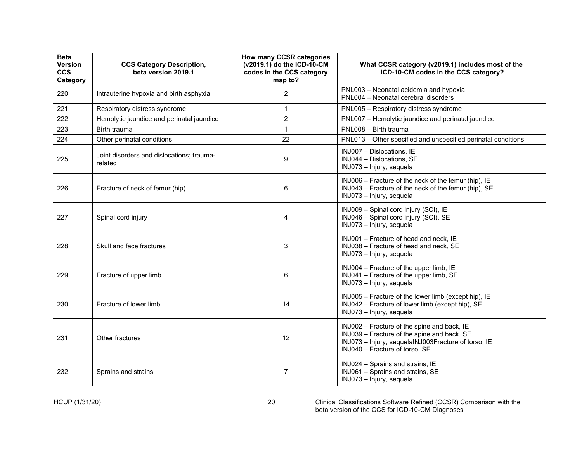| <b>Beta</b><br>Version<br><b>CCS</b><br>Category | <b>CCS Category Description,</b><br>beta version 2019.1 | How many CCSR categories<br>(v2019.1) do the ICD-10-CM<br>codes in the CCS category<br>map to? | What CCSR category (v2019.1) includes most of the<br>ICD-10-CM codes in the CCS category?                                                                                           |
|--------------------------------------------------|---------------------------------------------------------|------------------------------------------------------------------------------------------------|-------------------------------------------------------------------------------------------------------------------------------------------------------------------------------------|
| 220                                              | Intrauterine hypoxia and birth asphyxia                 | $\overline{2}$                                                                                 | PNL003 - Neonatal acidemia and hypoxia<br>PNL004 - Neonatal cerebral disorders                                                                                                      |
| 221                                              | Respiratory distress syndrome                           | $\mathbf 1$                                                                                    | PNL005 - Respiratory distress syndrome                                                                                                                                              |
| 222                                              | Hemolytic jaundice and perinatal jaundice               | $\overline{2}$                                                                                 | PNL007 - Hemolytic jaundice and perinatal jaundice                                                                                                                                  |
| 223                                              | Birth trauma                                            | $\mathbf{1}$                                                                                   | PNL008 - Birth trauma                                                                                                                                                               |
| 224                                              | Other perinatal conditions                              | 22                                                                                             | PNL013 - Other specified and unspecified perinatal conditions                                                                                                                       |
| 225                                              | Joint disorders and dislocations; trauma-<br>related    | 9                                                                                              | INJ007 - Dislocations, IE<br>INJ044 - Dislocations, SE<br>INJ073 - Injury, sequela                                                                                                  |
| 226                                              | Fracture of neck of femur (hip)                         | 6                                                                                              | INJ006 - Fracture of the neck of the femur (hip), IE<br>INJ043 - Fracture of the neck of the femur (hip), SE<br>INJ073 - Injury, sequela                                            |
| 227                                              | Spinal cord injury                                      | 4                                                                                              | INJ009 - Spinal cord injury (SCI), IE<br>INJ046 - Spinal cord injury (SCI), SE<br>INJ073 - Injury, sequela                                                                          |
| 228                                              | Skull and face fractures                                | 3                                                                                              | INJ001 - Fracture of head and neck, IE<br>INJ038 - Fracture of head and neck, SE<br>INJ073 - Injury, sequela                                                                        |
| 229                                              | Fracture of upper limb                                  | 6                                                                                              | INJ004 - Fracture of the upper limb, IE<br>INJ041 - Fracture of the upper limb, SE<br>INJ073 - Injury, sequela                                                                      |
| 230                                              | Fracture of lower limb                                  | 14                                                                                             | INJ005 - Fracture of the lower limb (except hip), IE<br>INJ042 - Fracture of lower limb (except hip), SE<br>INJ073 - Injury, sequela                                                |
| 231                                              | Other fractures                                         | 12                                                                                             | INJ002 - Fracture of the spine and back, IE<br>INJ039 - Fracture of the spine and back, SE<br>INJ073 - Injury, sequelaINJ003Fracture of torso, IE<br>INJ040 - Fracture of torso, SE |
| 232                                              | Sprains and strains                                     | $\overline{7}$                                                                                 | INJ024 - Sprains and strains, IE<br>INJ061 - Sprains and strains, SE<br>INJ073 - Injury, sequela                                                                                    |

HCUP (1/31/20) 20 Clinical Classifications Software Refined (CCSR) Comparison with the beta version of the CCS for ICD-10-CM Diagnoses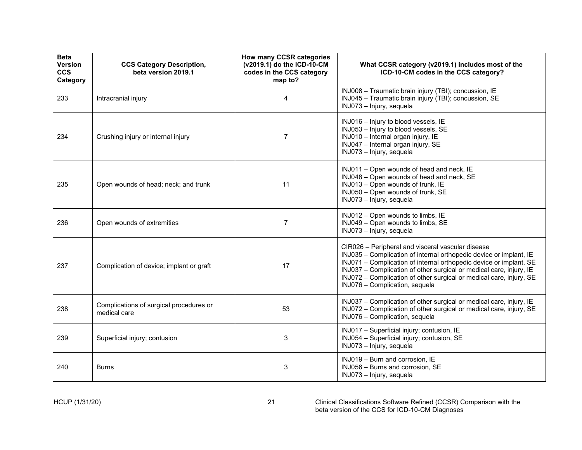| <b>Beta</b><br><b>Version</b><br><b>CCS</b><br>Category | <b>CCS Category Description,</b><br>beta version 2019.1 | How many CCSR categories<br>(v2019.1) do the ICD-10-CM<br>codes in the CCS category<br>map to? | What CCSR category (v2019.1) includes most of the<br>ICD-10-CM codes in the CCS category?                                                                                                                                                                                                                                                                                     |
|---------------------------------------------------------|---------------------------------------------------------|------------------------------------------------------------------------------------------------|-------------------------------------------------------------------------------------------------------------------------------------------------------------------------------------------------------------------------------------------------------------------------------------------------------------------------------------------------------------------------------|
| 233                                                     | Intracranial injury                                     | 4                                                                                              | INJ008 - Traumatic brain injury (TBI); concussion, IE<br>INJ045 - Traumatic brain injury (TBI); concussion, SE<br>INJ073 - Injury, sequela                                                                                                                                                                                                                                    |
| 234                                                     | Crushing injury or internal injury                      | $\overline{7}$                                                                                 | INJ016 - Injury to blood vessels, IE<br>INJ053 - Injury to blood vessels, SE<br>INJ010 - Internal organ injury, IE<br>INJ047 - Internal organ injury, SE<br>INJ073 - Injury, sequela                                                                                                                                                                                          |
| 235                                                     | Open wounds of head; neck; and trunk                    | 11                                                                                             | INJ011 - Open wounds of head and neck, IE<br>INJ048 - Open wounds of head and neck, SE<br>INJ013 - Open wounds of trunk, IE<br>INJ050 - Open wounds of trunk, SE<br>INJ073 - Injury, sequela                                                                                                                                                                                  |
| 236                                                     | Open wounds of extremities                              | $\overline{7}$                                                                                 | INJ012 - Open wounds to limbs, IE<br>INJ049 - Open wounds to limbs, SE<br>INJ073 - Injury, sequela                                                                                                                                                                                                                                                                            |
| 237                                                     | Complication of device; implant or graft                | 17                                                                                             | CIR026 - Peripheral and visceral vascular disease<br>INJ035 - Complication of internal orthopedic device or implant, IE<br>INJ071 - Complication of internal orthopedic device or implant, SE<br>INJ037 - Complication of other surgical or medical care, injury, IE<br>INJ072 - Complication of other surgical or medical care, injury, SE<br>INJ076 - Complication, sequela |
| 238                                                     | Complications of surgical procedures or<br>medical care | 53                                                                                             | INJ037 - Complication of other surgical or medical care, injury, IE<br>INJ072 - Complication of other surgical or medical care, injury, SE<br>INJ076 - Complication, sequela                                                                                                                                                                                                  |
| 239                                                     | Superficial injury; contusion                           | $\mathsf 3$                                                                                    | INJ017 - Superficial injury; contusion, IE<br>INJ054 - Superficial injury; contusion, SE<br>INJ073 - Injury, sequela                                                                                                                                                                                                                                                          |
| 240                                                     | <b>Burns</b>                                            | 3                                                                                              | INJ019 - Burn and corrosion, IE<br>INJ056 - Burns and corrosion, SE<br>INJ073 - Injury, sequela                                                                                                                                                                                                                                                                               |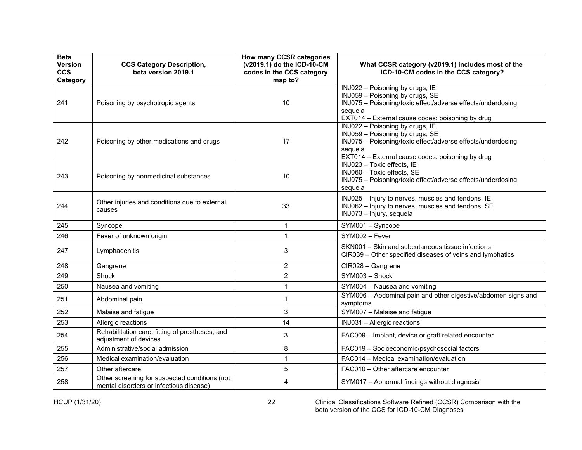| <b>Beta</b><br>Version<br><b>CCS</b><br>Category | <b>CCS Category Description,</b><br>beta version 2019.1                                  | How many CCSR categories<br>(v2019.1) do the ICD-10-CM<br>codes in the CCS category<br>map to? | What CCSR category (v2019.1) includes most of the<br>ICD-10-CM codes in the CCS category?                                                                                                         |
|--------------------------------------------------|------------------------------------------------------------------------------------------|------------------------------------------------------------------------------------------------|---------------------------------------------------------------------------------------------------------------------------------------------------------------------------------------------------|
| 241                                              | Poisoning by psychotropic agents                                                         | 10                                                                                             | INJ022 - Poisoning by drugs, IE<br>INJ059 - Poisoning by drugs, SE<br>INJ075 - Poisoning/toxic effect/adverse effects/underdosing,<br>sequela<br>EXT014 - External cause codes: poisoning by drug |
| 242                                              | Poisoning by other medications and drugs                                                 | 17                                                                                             | INJ022 - Poisoning by drugs, IE<br>INJ059 - Poisoning by drugs, SE<br>INJ075 - Poisoning/toxic effect/adverse effects/underdosing,<br>sequela<br>EXT014 - External cause codes: poisoning by drug |
| 243                                              | Poisoning by nonmedicinal substances                                                     | 10                                                                                             | INJ023 - Toxic effects, IE<br>INJ060 - Toxic effects, SE<br>INJ075 - Poisoning/toxic effect/adverse effects/underdosing,<br>sequela                                                               |
| 244                                              | Other injuries and conditions due to external<br>causes                                  | 33                                                                                             | INJ025 - Injury to nerves, muscles and tendons, IE<br>INJ062 - Injury to nerves, muscles and tendons, SE<br>INJ073 - Injury, sequela                                                              |
| 245                                              | Syncope                                                                                  | 1                                                                                              | SYM001 - Syncope                                                                                                                                                                                  |
| 246                                              | Fever of unknown origin                                                                  | 1                                                                                              | SYM002 - Fever                                                                                                                                                                                    |
| 247                                              | Lymphadenitis                                                                            | 3                                                                                              | SKN001 - Skin and subcutaneous tissue infections<br>CIR039 - Other specified diseases of veins and lymphatics                                                                                     |
| 248                                              | Gangrene                                                                                 | $\overline{2}$                                                                                 | CIR028 - Gangrene                                                                                                                                                                                 |
| 249                                              | Shock                                                                                    | $\overline{2}$                                                                                 | SYM003 - Shock                                                                                                                                                                                    |
| 250                                              | Nausea and vomiting                                                                      | 1                                                                                              | SYM004 - Nausea and vomiting                                                                                                                                                                      |
| 251                                              | Abdominal pain                                                                           | 1                                                                                              | SYM006 - Abdominal pain and other digestive/abdomen signs and<br>symptoms                                                                                                                         |
| 252                                              | Malaise and fatigue                                                                      | 3                                                                                              | SYM007 - Malaise and fatigue                                                                                                                                                                      |
| 253                                              | Allergic reactions                                                                       | 14                                                                                             | INJ031 - Allergic reactions                                                                                                                                                                       |
| 254                                              | Rehabilitation care; fitting of prostheses; and<br>adjustment of devices                 | 3                                                                                              | FAC009 - Implant, device or graft related encounter                                                                                                                                               |
| 255                                              | Administrative/social admission                                                          | 8                                                                                              | FAC019 - Socioeconomic/psychosocial factors                                                                                                                                                       |
| 256                                              | Medical examination/evaluation                                                           | 1                                                                                              | FAC014 - Medical examination/evaluation                                                                                                                                                           |
| 257                                              | Other aftercare                                                                          | 5                                                                                              | FAC010 - Other aftercare encounter                                                                                                                                                                |
| 258                                              | Other screening for suspected conditions (not<br>mental disorders or infectious disease) | 4                                                                                              | SYM017 - Abnormal findings without diagnosis                                                                                                                                                      |

HCUP (1/31/20) 22 Clinical Classifications Software Refined (CCSR) Comparison with the beta version of the CCS for ICD-10-CM Diagnoses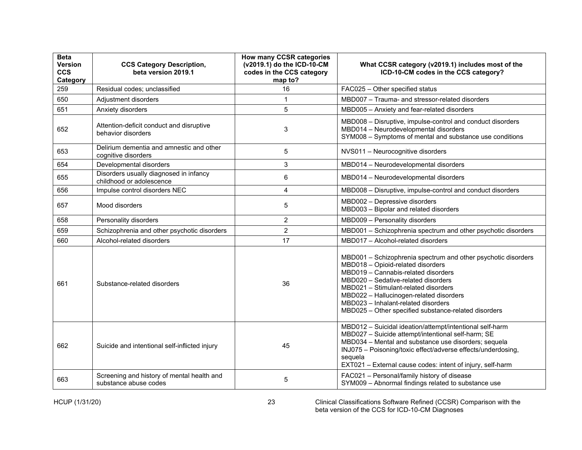| <b>Beta</b><br>Version<br><b>CCS</b><br>Category | <b>CCS Category Description,</b><br>beta version 2019.1             | How many CCSR categories<br>(v2019.1) do the ICD-10-CM<br>codes in the CCS category<br>map to? | What CCSR category (v2019.1) includes most of the<br>ICD-10-CM codes in the CCS category?                                                                                                                                                                                                                                                                          |
|--------------------------------------------------|---------------------------------------------------------------------|------------------------------------------------------------------------------------------------|--------------------------------------------------------------------------------------------------------------------------------------------------------------------------------------------------------------------------------------------------------------------------------------------------------------------------------------------------------------------|
| 259                                              | Residual codes; unclassified                                        | 16                                                                                             | FAC025 - Other specified status                                                                                                                                                                                                                                                                                                                                    |
| 650                                              | Adjustment disorders                                                | 1                                                                                              | MBD007 - Trauma- and stressor-related disorders                                                                                                                                                                                                                                                                                                                    |
| 651                                              | Anxiety disorders                                                   | 5                                                                                              | MBD005 - Anxiety and fear-related disorders                                                                                                                                                                                                                                                                                                                        |
| 652                                              | Attention-deficit conduct and disruptive<br>behavior disorders      | 3                                                                                              | MBD008 - Disruptive, impulse-control and conduct disorders<br>MBD014 - Neurodevelopmental disorders<br>SYM008 - Symptoms of mental and substance use conditions                                                                                                                                                                                                    |
| 653                                              | Delirium dementia and amnestic and other<br>cognitive disorders     | 5                                                                                              | NVS011 - Neurocognitive disorders                                                                                                                                                                                                                                                                                                                                  |
| 654                                              | Developmental disorders                                             | 3                                                                                              | MBD014 - Neurodevelopmental disorders                                                                                                                                                                                                                                                                                                                              |
| 655                                              | Disorders usually diagnosed in infancy<br>childhood or adolescence  | 6                                                                                              | MBD014 - Neurodevelopmental disorders                                                                                                                                                                                                                                                                                                                              |
| 656                                              | Impulse control disorders NEC                                       | 4                                                                                              | MBD008 - Disruptive, impulse-control and conduct disorders                                                                                                                                                                                                                                                                                                         |
| 657                                              | Mood disorders                                                      | 5                                                                                              | MBD002 - Depressive disorders<br>MBD003 - Bipolar and related disorders                                                                                                                                                                                                                                                                                            |
| 658                                              | Personality disorders                                               | $\overline{2}$                                                                                 | MBD009 - Personality disorders                                                                                                                                                                                                                                                                                                                                     |
| 659                                              | Schizophrenia and other psychotic disorders                         | $\overline{2}$                                                                                 | MBD001 - Schizophrenia spectrum and other psychotic disorders                                                                                                                                                                                                                                                                                                      |
| 660                                              | Alcohol-related disorders                                           | 17                                                                                             | MBD017 - Alcohol-related disorders                                                                                                                                                                                                                                                                                                                                 |
| 661                                              | Substance-related disorders                                         | 36                                                                                             | MBD001 - Schizophrenia spectrum and other psychotic disorders<br>MBD018 - Opioid-related disorders<br>MBD019 - Cannabis-related disorders<br>MBD020 - Sedative-related disorders<br>MBD021 - Stimulant-related disorders<br>MBD022 - Hallucinogen-related disorders<br>MBD023 - Inhalant-related disorders<br>MBD025 - Other specified substance-related disorders |
| 662                                              | Suicide and intentional self-inflicted injury                       | 45                                                                                             | MBD012 - Suicidal ideation/attempt/intentional self-harm<br>MBD027 - Suicide attempt/intentional self-harm; SE<br>MBD034 - Mental and substance use disorders; sequela<br>INJ075 - Poisoning/toxic effect/adverse effects/underdosing,<br>sequela<br>EXT021 - External cause codes: intent of injury, self-harm                                                    |
| 663                                              | Screening and history of mental health and<br>substance abuse codes | 5                                                                                              | FAC021 - Personal/family history of disease<br>SYM009 - Abnormal findings related to substance use                                                                                                                                                                                                                                                                 |

HCUP (1/31/20) 23 Clinical Classifications Software Refined (CCSR) Comparison with the beta version of the CCS for ICD-10-CM Diagnoses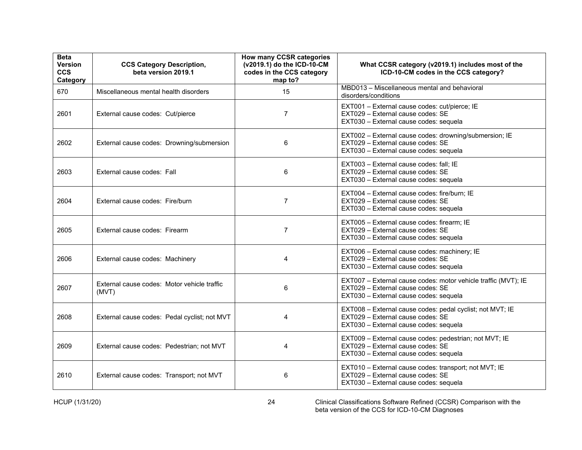| <b>Beta</b><br>Version<br><b>CCS</b><br>Category | <b>CCS Category Description,</b><br>beta version 2019.1 | <b>How many CCSR categories</b><br>(v2019.1) do the ICD-10-CM<br>codes in the CCS category<br>map to? | What CCSR category (v2019.1) includes most of the<br>ICD-10-CM codes in the CCS category?                                                     |
|--------------------------------------------------|---------------------------------------------------------|-------------------------------------------------------------------------------------------------------|-----------------------------------------------------------------------------------------------------------------------------------------------|
| 670                                              | Miscellaneous mental health disorders                   | 15                                                                                                    | MBD013 - Miscellaneous mental and behavioral<br>disorders/conditions                                                                          |
| 2601                                             | External cause codes: Cut/pierce                        | $\overline{7}$                                                                                        | EXT001 - External cause codes: cut/pierce; IE<br>EXT029 - External cause codes: SE<br>EXT030 - External cause codes: sequela                  |
| 2602                                             | External cause codes: Drowning/submersion               | 6                                                                                                     | EXT002 - External cause codes: drowning/submersion; IE<br>FXT029 - External cause codes: SF<br>EXT030 - External cause codes: sequela         |
| 2603                                             | External cause codes: Fall                              | 6                                                                                                     | EXT003 - External cause codes: fall; IE<br>EXT029 - External cause codes: SE<br>EXT030 - External cause codes: sequela                        |
| 2604                                             | External cause codes: Fire/burn                         | $\overline{7}$                                                                                        | EXT004 - External cause codes: fire/burn; IE<br>EXT029 - External cause codes: SE<br>EXT030 - External cause codes: sequela                   |
| 2605                                             | External cause codes: Firearm                           | $\overline{7}$                                                                                        | EXT005 - External cause codes: firearm; IE<br>EXT029 - External cause codes: SE<br>EXT030 - External cause codes: sequela                     |
| 2606                                             | External cause codes: Machinery                         | 4                                                                                                     | EXT006 - External cause codes: machinery; IE<br>EXT029 - External cause codes: SE<br>EXT030 - External cause codes: sequela                   |
| 2607                                             | External cause codes: Motor vehicle traffic<br>(MVT)    | 6                                                                                                     | EXT007 - External cause codes: motor vehicle traffic (MVT); IE<br>EXT029 - External cause codes: SE<br>EXT030 - External cause codes: sequela |
| 2608                                             | External cause codes: Pedal cyclist; not MVT            | 4                                                                                                     | EXT008 - External cause codes: pedal cyclist; not MVT; IE<br>EXT029 - External cause codes: SE<br>EXT030 - External cause codes: sequela      |
| 2609                                             | External cause codes: Pedestrian; not MVT               | 4                                                                                                     | EXT009 - External cause codes: pedestrian; not MVT; IE<br>EXT029 - External cause codes: SE<br>EXT030 - External cause codes: sequela         |
| 2610                                             | External cause codes: Transport; not MVT                | 6                                                                                                     | EXT010 - External cause codes: transport; not MVT; IE<br>EXT029 - External cause codes: SE<br>EXT030 - External cause codes: sequela          |

HCUP (1/31/20) 24 Clinical Classifications Software Refined (CCSR) Comparison with the beta version of the CCS for ICD-10-CM Diagnoses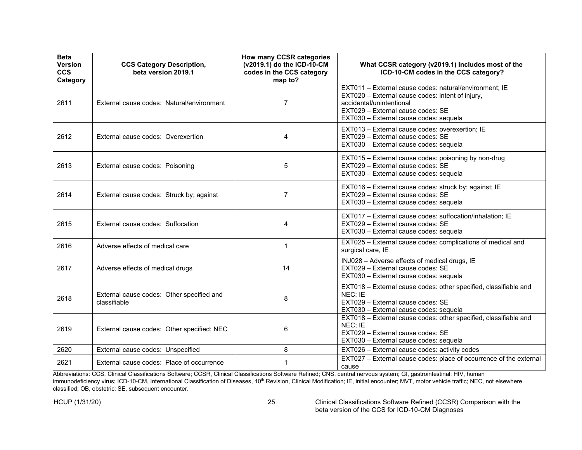| <b>Beta</b><br><b>Version</b><br><b>CCS</b><br>Category | <b>CCS Category Description,</b><br>beta version 2019.1   | <b>How many CCSR categories</b><br>(v2019.1) do the ICD-10-CM<br>codes in the CCS category<br>map to? | What CCSR category (v2019.1) includes most of the<br>ICD-10-CM codes in the CCS category?                                                                                                                             |
|---------------------------------------------------------|-----------------------------------------------------------|-------------------------------------------------------------------------------------------------------|-----------------------------------------------------------------------------------------------------------------------------------------------------------------------------------------------------------------------|
| 2611                                                    | External cause codes: Natural/environment                 | $\overline{7}$                                                                                        | EXT011 - External cause codes: natural/environment; IE<br>EXT020 - External cause codes: intent of injury,<br>accidental/unintentional<br>EXT029 - External cause codes: SE<br>EXT030 - External cause codes: sequela |
| 2612                                                    | External cause codes: Overexertion                        | 4                                                                                                     | EXT013 - External cause codes: overexertion; IE<br>EXT029 - External cause codes: SE<br>EXT030 - External cause codes: sequela                                                                                        |
| 2613                                                    | External cause codes: Poisoning                           | 5                                                                                                     | EXT015 - External cause codes: poisoning by non-drug<br>EXT029 - External cause codes: SE<br>EXT030 - External cause codes: sequela                                                                                   |
| 2614                                                    | External cause codes: Struck by; against                  | $\overline{7}$                                                                                        | EXT016 - External cause codes: struck by; against; IE<br>EXT029 - External cause codes: SE<br>EXT030 - External cause codes: sequela                                                                                  |
| 2615                                                    | External cause codes: Suffocation                         | 4                                                                                                     | EXT017 - External cause codes: suffocation/inhalation; IE<br>EXT029 - External cause codes: SE<br>EXT030 - External cause codes: sequela                                                                              |
| 2616                                                    | Adverse effects of medical care                           | $\mathbf 1$                                                                                           | EXT025 - External cause codes: complications of medical and<br>surgical care, IE                                                                                                                                      |
| 2617                                                    | Adverse effects of medical drugs                          | 14                                                                                                    | INJ028 - Adverse effects of medical drugs, IE<br>EXT029 - External cause codes: SE<br>EXT030 - External cause codes: sequela                                                                                          |
| 2618                                                    | External cause codes: Other specified and<br>classifiable | 8                                                                                                     | EXT018 - External cause codes: other specified, classifiable and<br>NEC; IE<br>EXT029 - External cause codes: SE<br>EXT030 - External cause codes: sequela                                                            |
| 2619                                                    | External cause codes: Other specified; NEC                | 6                                                                                                     | EXT018 - External cause codes: other specified, classifiable and<br>NEC: IE<br>EXT029 - External cause codes: SE<br>EXT030 - External cause codes: sequela                                                            |
| 2620                                                    | External cause codes: Unspecified                         | 8                                                                                                     | EXT026 - External cause codes: activity codes                                                                                                                                                                         |
| 2621                                                    | External cause codes: Place of occurrence                 | 1                                                                                                     | EXT027 - External cause codes: place of occurrence of the external<br>cause                                                                                                                                           |

Abbreviations: CCS, Clinical Classifications Software; CCSR, Clinical Classifications Software Refined; CNS, central nervous system; GI, gastrointestinal; HIV, human immunodeficiency virus; ICD-10-CM, International Classification of Diseases, 10<sup>th</sup> Revision, Clinical Modification; IE, initial encounter; MVT, motor vehicle traffic; NEC, not elsewhere classified; OB, obstetric; SE, subsequent encounter.

HCUP (1/31/20) 25 Clinical Classifications Software Refined (CCSR) Comparison with the beta version of the CCS for ICD-10-CM Diagnoses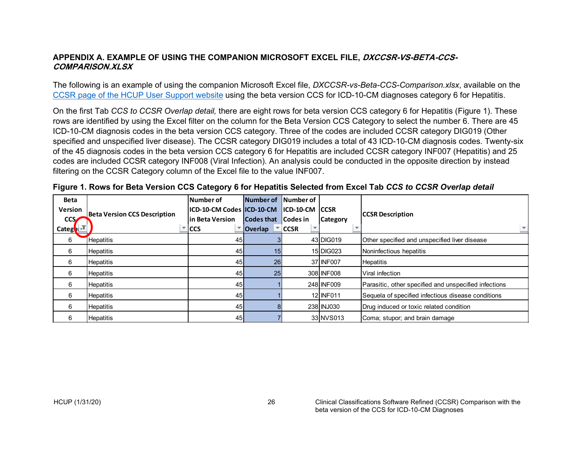#### **APPENDIX A. EXAMPLE OF USING THE COMPANION MICROSOFT EXCEL FILE, DXCCSR-VS-BETA-CCS-COMPARISON.XLSX**

The following is an example of using the companion Microsoft Excel file, *DXCCSR-vs-Beta-CCS-Comparison.xlsx*, available on the [CCSR page of the HCUP User Support website](https://www.hcup-us.ahrq.gov/toolssoftware/ccsr/ccs_refined.jsp) using the beta version CCS for ICD-10-CM diagnoses category 6 for Hepatitis.

On the first Tab *CCS to CCSR Overlap detail,* there are eight rows for beta version CCS category 6 for Hepatitis (Figure 1). These rows are identified by using the Excel filter on the column for the Beta Version CCS Category to select the number 6. There are 45 ICD-10-CM diagnosis codes in the beta version CCS category. Three of the codes are included CCSR category DIG019 (Other specified and unspecified liver disease). The CCSR category DIG019 includes a total of 43 ICD-10-CM diagnosis codes. Twenty-six of the 45 diagnosis codes in the beta version CCS category 6 for Hepatitis are included CCSR category INF007 (Hepatitis) and 25 codes are included CCSR category INF008 (Viral Infection). An analysis could be conducted in the opposite direction by instead filtering on the CCSR Category column of the Excel file to the value INF007.

| <b>Beta</b>                                           |                          | Number of       | Number of Number of        |             |                 |                                                       |
|-------------------------------------------------------|--------------------------|-----------------|----------------------------|-------------|-----------------|-------------------------------------------------------|
| <b>Version</b><br><b>Beta Version CCS Description</b> |                          |                 |                            |             |                 |                                                       |
| <b>CCS</b>                                            |                          | in Beta Version | <b>Codes that Codes in</b> |             | <b>Category</b> | <b>CCSR Description</b>                               |
| Categ <b>o</b>                                        | $\overline{\phantom{a}}$ | <b>ICCS</b>     | ▼ Overlap                  | $\Box$ CCSR |                 | $\overline{\mathbf{v}}$ .                             |
| 6                                                     | <b>Hepatitis</b>         | 45              |                            |             | 43 DIG019       | Other specified and unspecified liver disease         |
| 6                                                     | <b>Hepatitis</b>         | 45              | 15                         |             | 15 DIG023       | Noninfectious hepatitis                               |
| 6                                                     | <b>Hepatitis</b>         | 45              | 26                         |             | 37 INF007       | <b>Hepatitis</b>                                      |
| 6                                                     | <b>Hepatitis</b>         | 45 <sub>1</sub> | 25                         |             | 308 IN FOO8     | Viral infection                                       |
| 6                                                     | <b>Hepatitis</b>         | 45              |                            |             | 248 INF009      | Parasitic, other specified and unspecified infections |
| 6                                                     | <b>Hepatitis</b>         | 45 <sub>1</sub> |                            |             | 12 INF011       | Sequela of specified infectious disease conditions    |
| 6                                                     | <b>Hepatitis</b>         | 45 <sub>1</sub> |                            |             | 238 INJ030      | Drug induced or toxic related condition               |
| 6                                                     | <b>Hepatitis</b>         | 45 <sub>1</sub> |                            |             | 33 NVS013       | Coma; stupor; and brain damage                        |

<span id="page-27-0"></span>

|  |  |  | Figure 1. Rows for Beta Version CCS Category 6 for Hepatitis Selected from Excel Tab CCS to CCSR Overlap detail |  |  |
|--|--|--|-----------------------------------------------------------------------------------------------------------------|--|--|
|--|--|--|-----------------------------------------------------------------------------------------------------------------|--|--|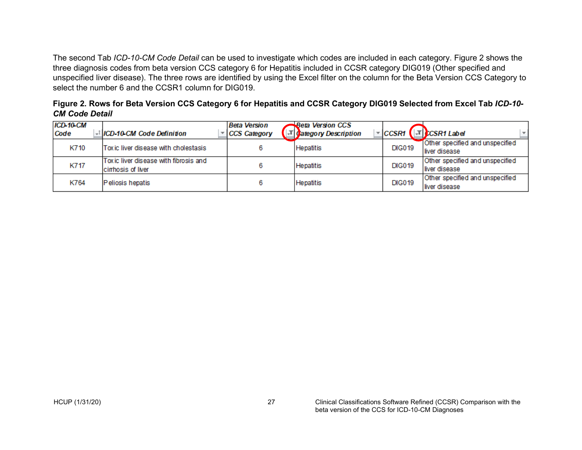The second Tab *ICD-10-CM Code Detail* can be used to investigate which codes are included in each category. Figure 2 shows the three diagnosis codes from beta version CCS category 6 for Hepatitis included in CCSR category DIG019 (Other specified and unspecified liver disease). The three rows are identified by using the Excel filter on the column for the Beta Version CCS Category to select the number 6 and the CCSR1 column for DIG019.

| Figure 2. Rows for Beta Version CCS Category 6 for Hepatitis and CCSR Category DIG019 Selected from Excel Tab ICD-10- |  |
|-----------------------------------------------------------------------------------------------------------------------|--|
| <b>CM Code Detail</b>                                                                                                 |  |

| ICD-10-CM<br>Code | - ICD-10-CM Code Definition                                | <b>Beta Version</b><br>CCS Category | <b>Beta Version CCS</b><br>. J Category Description | $\sqrt{C}$ CSR1 | <b>CCSR1 Label</b>                               |
|-------------------|------------------------------------------------------------|-------------------------------------|-----------------------------------------------------|-----------------|--------------------------------------------------|
| K710              | Toxic liver disease with cholestasis                       |                                     | Hepatitis                                           | <b>DIG019</b>   | Other specified and unspecified<br>liver disease |
| K717              | Toxic liver disease with fibrosis and<br>cimbosis of liver |                                     | Hepatitis                                           | <b>DIG019</b>   | Other specified and unspecified<br>liver disease |
| K764              | Peliosis hepatis                                           |                                     | Hepatitis                                           | <b>DIG019</b>   | Other specified and unspecified<br>liver disease |